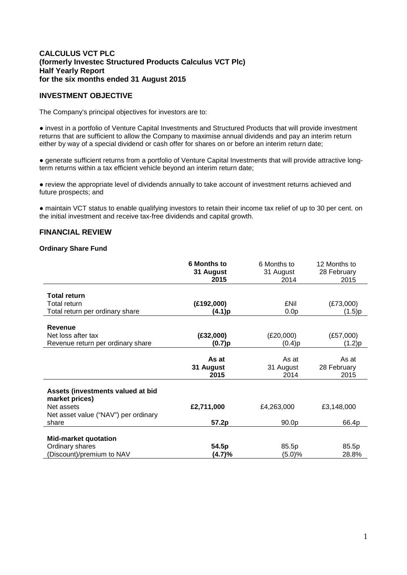# **CALCULUS VCT PLC (formerly Investec Structured Products Calculus VCT Plc) Half Yearly Report for the six months ended 31 August 2015**

# **INVESTMENT OBJECTIVE**

The Company's principal objectives for investors are to:

● invest in a portfolio of Venture Capital Investments and Structured Products that will provide investment returns that are sufficient to allow the Company to maximise annual dividends and pay an interim return either by way of a special dividend or cash offer for shares on or before an interim return date;

● generate sufficient returns from a portfolio of Venture Capital Investments that will provide attractive longterm returns within a tax efficient vehicle beyond an interim return date;

● review the appropriate level of dividends annually to take account of investment returns achieved and future prospects; and

● maintain VCT status to enable qualifying investors to retain their income tax relief of up to 30 per cent. on the initial investment and receive tax-free dividends and capital growth.

# **FINANCIAL REVIEW**

#### **Ordinary Share Fund**

|                                                     | <b>6 Months to</b><br>31 August | 6 Months to<br>31 August | 12 Months to<br>28 February |
|-----------------------------------------------------|---------------------------------|--------------------------|-----------------------------|
|                                                     | 2015                            | 2014                     | 2015                        |
|                                                     |                                 |                          |                             |
| Total return                                        |                                 |                          |                             |
| Total return                                        | (E192,000)                      | £Nil                     | (E73,000)                   |
| Total return per ordinary share                     | (4.1)p                          | 0.0 <sub>p</sub>         | (1.5)p                      |
| <b>Revenue</b>                                      |                                 |                          |                             |
| Net loss after tax                                  | (E32,000)                       | (E20,000)                | (E57,000)                   |
| Revenue return per ordinary share                   | (0.7)p                          | (0.4)p                   |                             |
|                                                     |                                 |                          | (1.2)p                      |
|                                                     | As at                           | As at                    | As at                       |
|                                                     | 31 August                       | 31 August                | 28 February                 |
|                                                     | 2015                            | 2014                     | 2015                        |
|                                                     |                                 |                          |                             |
| Assets (investments valued at bid<br>market prices) |                                 |                          |                             |
| Net assets                                          | £2,711,000                      | £4,263,000               | £3,148,000                  |
| Net asset value ("NAV") per ordinary                |                                 |                          |                             |
| share                                               | 57.2p                           | 90.0p                    | 66.4p                       |
|                                                     |                                 |                          |                             |
| <b>Mid-market quotation</b>                         |                                 |                          |                             |
| Ordinary shares                                     | 54.5p                           | 85.5p                    | 85.5p                       |
| (Discount)/premium to NAV                           | (4.7)%                          | (5.0)%                   | 28.8%                       |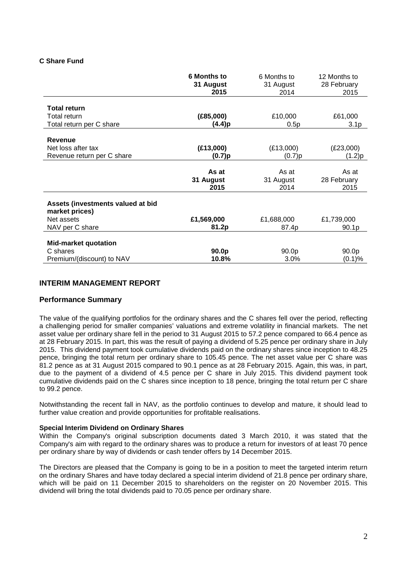# **C Share Fund**

|                                                     | <b>6 Months to</b><br>31 August<br>2015 | 6 Months to<br>31 August<br>2014 | 12 Months to<br>28 February<br>2015 |
|-----------------------------------------------------|-----------------------------------------|----------------------------------|-------------------------------------|
|                                                     |                                         |                                  |                                     |
| <b>Total return</b>                                 |                                         |                                  |                                     |
| Total return                                        | (E85,000)                               | £10,000                          | £61,000                             |
| Total return per C share                            | (4.4)p                                  | 0.5p                             | 3.1 <sub>p</sub>                    |
| <b>Revenue</b>                                      |                                         |                                  |                                     |
| Net loss after tax                                  | (E13,000)                               | (E13,000)                        | (E23,000)                           |
| Revenue return per C share                          | (0.7)p                                  | (0.7)p                           | (1.2)p                              |
|                                                     |                                         |                                  |                                     |
|                                                     | As at                                   | As at                            | As at                               |
|                                                     | 31 August                               | 31 August                        | 28 February                         |
|                                                     | 2015                                    | 2014                             | 2015                                |
| Assets (investments valued at bid<br>market prices) |                                         |                                  |                                     |
| Net assets                                          | £1,569,000                              | £1,688,000                       | £1,739,000                          |
| NAV per C share                                     | 81.2p                                   | 87.4p                            | 90.1p                               |
| <b>Mid-market quotation</b>                         |                                         |                                  |                                     |
| C shares                                            | 90.0p                                   | 90.0p                            | 90.0p                               |
| Premium/(discount) to NAV                           | 10.8%                                   | 3.0%                             | (0.1)%                              |

# **INTERIM MANAGEMENT REPORT**

# **Performance Summary**

The value of the qualifying portfolios for the ordinary shares and the C shares fell over the period, reflecting a challenging period for smaller companies' valuations and extreme volatility in financial markets. The net asset value per ordinary share fell in the period to 31 August 2015 to 57.2 pence compared to 66.4 pence as at 28 February 2015. In part, this was the result of paying a dividend of 5.25 pence per ordinary share in July 2015. This dividend payment took cumulative dividends paid on the ordinary shares since inception to 48.25 pence, bringing the total return per ordinary share to 105.45 pence. The net asset value per C share was 81.2 pence as at 31 August 2015 compared to 90.1 pence as at 28 February 2015. Again, this was, in part, due to the payment of a dividend of 4.5 pence per C share in July 2015. This dividend payment took cumulative dividends paid on the C shares since inception to 18 pence, bringing the total return per C share to 99.2 pence.

Notwithstanding the recent fall in NAV, as the portfolio continues to develop and mature, it should lead to further value creation and provide opportunities for profitable realisations.

#### **Special Interim Dividend on Ordinary Shares**

Within the Company's original subscription documents dated 3 March 2010, it was stated that the Company's aim with regard to the ordinary shares was to produce a return for investors of at least 70 pence per ordinary share by way of dividends or cash tender offers by 14 December 2015.

The Directors are pleased that the Company is going to be in a position to meet the targeted interim return on the ordinary Shares and have today declared a special interim dividend of 21.8 pence per ordinary share, which will be paid on 11 December 2015 to shareholders on the register on 20 November 2015. This dividend will bring the total dividends paid to 70.05 pence per ordinary share.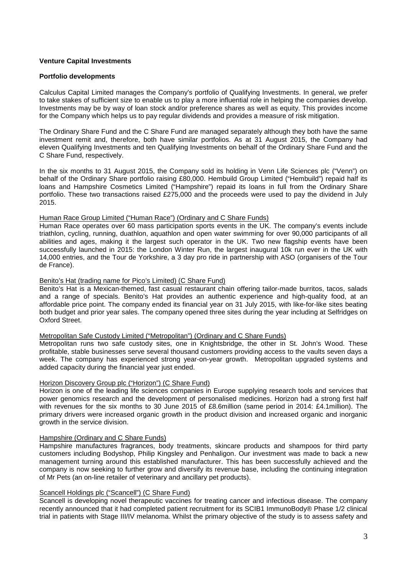# **Venture Capital Investments**

#### **Portfolio developments**

Calculus Capital Limited manages the Company's portfolio of Qualifying Investments. In general, we prefer to take stakes of sufficient size to enable us to play a more influential role in helping the companies develop. Investments may be by way of loan stock and/or preference shares as well as equity. This provides income for the Company which helps us to pay regular dividends and provides a measure of risk mitigation.

The Ordinary Share Fund and the C Share Fund are managed separately although they both have the same investment remit and, therefore, both have similar portfolios. As at 31 August 2015, the Company had eleven Qualifying Investments and ten Qualifying Investments on behalf of the Ordinary Share Fund and the C Share Fund, respectively.

In the six months to 31 August 2015, the Company sold its holding in Venn Life Sciences plc ("Venn") on behalf of the Ordinary Share portfolio raising £80,000. Hembuild Group Limited ("Hembuild") repaid half its loans and Hampshire Cosmetics Limited ("Hampshire") repaid its loans in full from the Ordinary Share portfolio. These two transactions raised £275,000 and the proceeds were used to pay the dividend in July 2015.

### Human Race Group Limited ("Human Race") (Ordinary and C Share Funds)

Human Race operates over 60 mass participation sports events in the UK. The company's events include triathlon, cycling, running, duathlon, aquathlon and open water swimming for over 90,000 participants of all abilities and ages, making it the largest such operator in the UK. Two new flagship events have been successfully launched in 2015: the London Winter Run, the largest inaugural 10k run ever in the UK with 14,000 entries, and the Tour de Yorkshire, a 3 day pro ride in partnership with ASO (organisers of the Tour de France).

### Benito's Hat (trading name for Pico's Limited) (C Share Fund)

Benito's Hat is a Mexican-themed, fast casual restaurant chain offering tailor-made burritos, tacos, salads and a range of specials. Benito's Hat provides an authentic experience and high-quality food, at an affordable price point. The company ended its financial year on 31 July 2015, with like-for-like sites beating both budget and prior year sales. The company opened three sites during the year including at Selfridges on Oxford Street.

# Metropolitan Safe Custody Limited ("Metropolitan") (Ordinary and C Share Funds)

Metropolitan runs two safe custody sites, one in Knightsbridge, the other in St. John's Wood. These profitable, stable businesses serve several thousand customers providing access to the vaults seven days a week. The company has experienced strong year-on-year growth. Metropolitan upgraded systems and added capacity during the financial year just ended.

#### Horizon Discovery Group plc ("Horizon") (C Share Fund)

Horizon is one of the leading life sciences companies in Europe supplying research tools and services that power genomics research and the development of personalised medicines. Horizon had a strong first half with revenues for the six months to 30 June 2015 of £8.6million (same period in 2014: £4.1million). The primary drivers were increased organic growth in the product division and increased organic and inorganic growth in the service division.

#### Hampshire (Ordinary and C Share Funds)

Hampshire manufactures fragrances, body treatments, skincare products and shampoos for third party customers including Bodyshop, Philip Kingsley and Penhaligon. Our investment was made to back a new management turning around this established manufacturer. This has been successfully achieved and the company is now seeking to further grow and diversify its revenue base, including the continuing integration of Mr Pets (an on-line retailer of veterinary and ancillary pet products).

#### Scancell Holdings plc ("Scancell") (C Share Fund)

Scancell is developing novel therapeutic vaccines for treating cancer and infectious disease. The company recently announced that it had completed patient recruitment for its SCIB1 ImmunoBody® Phase 1/2 clinical trial in patients with Stage III/IV melanoma. Whilst the primary objective of the study is to assess safety and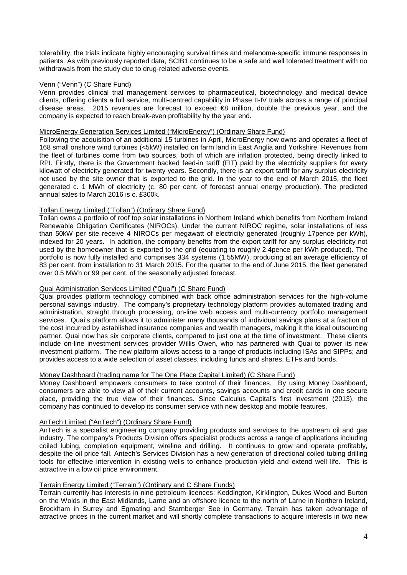tolerability, the trials indicate highly encouraging survival times and melanoma-specific immune responses in patients. As with previously reported data, SCIB1 continues to be a safe and well tolerated treatment with no withdrawals from the study due to drug-related adverse events.

### Venn ("Venn") (C Share Fund)

Venn provides clinical trial management services to pharmaceutical, biotechnology and medical device clients, offering clients a full service, multi-centred capability in Phase II-IV trials across a range of principal disease areas. 2015 revenues are forecast to exceed €8 million, double the previous year, and the company is expected to reach break-even profitability by the year end.

# MicroEnergy Generation Services Limited ("MicroEnergy") (Ordinary Share Fund)

Following the acquisition of an additional 15 turbines in April, MicroEnergy now owns and operates a fleet of 168 small onshore wind turbines (<5kW) installed on farm land in East Anglia and Yorkshire. Revenues from the fleet of turbines come from two sources, both of which are inflation protected, being directly linked to RPI. Firstly, there is the Government backed feed-in tariff (FIT) paid by the electricity suppliers for every kilowatt of electricity generated for twenty years. Secondly, there is an export tariff for any surplus electricity not used by the site owner that is exported to the grid. In the year to the end of March 2015, the fleet generated c. 1 MWh of electricity (c. 80 per cent. of forecast annual energy production). The predicted annual sales to March 2016 is c. £300k.

# Tollan Energy Limited ("Tollan") (Ordinary Share Fund)

Tollan owns a portfolio of roof top solar installations in Northern Ireland which benefits from Northern Ireland Renewable Obligation Certificates (NIROCs). Under the current NIROC regime, solar installations of less than 50kW per site receive 4 NIROCs per megawatt of electricity generated (roughly 17pence per kWh), indexed for 20 years. In addition, the company benefits from the export tariff for any surplus electricity not used by the homeowner that is exported to the grid (equating to roughly 2.4pence per kWh produced). The portfolio is now fully installed and comprises 334 systems (1.55MW), producing at an average efficiency of 83 per cent. from installation to 31 March 2015. For the quarter to the end of June 2015, the fleet generated over 0.5 MWh or 99 per cent. of the seasonally adjusted forecast.

# Quai Administration Services Limited ("Quai") (C Share Fund)

Quai provides platform technology combined with back office administration services for the high-volume personal savings industry. The company's proprietary technology platform provides automated trading and administration, straight through processing, on-line web access and multi-currency portfolio management services. Quai's platform allows it to administer many thousands of individual savings plans at a fraction of the cost incurred by established insurance companies and wealth managers, making it the ideal outsourcing partner. Quai now has six corporate clients, compared to just one at the time of investment. These clients include on-line investment services provider Willis Owen, who has partnered with Quai to power its new investment platform. The new platform allows access to a range of products including ISAs and SIPPs; and provides access to a wide selection of asset classes, including funds and shares, ETFs and bonds.

#### Money Dashboard (trading name for The One Place Capital Limited) (C Share Fund)

Money Dashboard empowers consumers to take control of their finances. By using Money Dashboard, consumers are able to view all of their current accounts, savings accounts and credit cards in one secure place, providing the true view of their finances. Since Calculus Capital's first investment (2013), the company has continued to develop its consumer service with new desktop and mobile features.

### AnTech Limited ("AnTech") (Ordinary Share Fund)

AnTech is a specialist engineering company providing products and services to the upstream oil and gas industry. The company's Products Division offers specialist products across a range of applications including coiled lubing, completion equipment, wireline and drilling. It continues to grow and operate profitably, despite the oil price fall. Antech's Services Division has a new generation of directional coiled tubing drilling tools for effective intervention in existing wells to enhance production yield and extend well life. This is attractive in a low oil price environment.

#### Terrain Energy Limited ("Terrain") (Ordinary and C Share Funds)

Terrain currently has interests in nine petroleum licences: Keddington, Kirklington, Dukes Wood and Burton on the Wolds in the East Midlands, Larne and an offshore licence to the north of Larne in Northern Ireland, Brockham in Surrey and Egmating and Starnberger See in Germany. Terrain has taken advantage of attractive prices in the current market and will shortly complete transactions to acquire interests in two new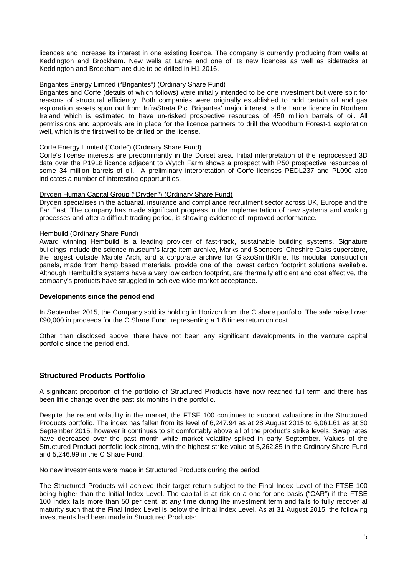licences and increase its interest in one existing licence. The company is currently producing from wells at Keddington and Brockham. New wells at Larne and one of its new licences as well as sidetracks at Keddington and Brockham are due to be drilled in H1 2016.

#### Brigantes Energy Limited ("Brigantes") (Ordinary Share Fund)

Brigantes and Corfe (details of which follows) were initially intended to be one investment but were split for reasons of structural efficiency. Both companies were originally established to hold certain oil and gas exploration assets spun out from InfraStrata Plc. Brigantes' major interest is the Larne licence in Northern Ireland which is estimated to have un-risked prospective resources of 450 million barrels of oil. All permissions and approvals are in place for the licence partners to drill the Woodburn Forest-1 exploration well, which is the first well to be drilled on the license.

### Corfe Energy Limited ("Corfe") (Ordinary Share Fund)

Corfe's license interests are predominantly in the Dorset area. Initial interpretation of the reprocessed 3D data over the P1918 licence adjacent to Wytch Farm shows a prospect with P50 prospective resources of some 34 million barrels of oil. A preliminary interpretation of Corfe licenses PEDL237 and PL090 also indicates a number of interesting opportunities.

### Dryden Human Capital Group ("Dryden") (Ordinary Share Fund)

Dryden specialises in the actuarial, insurance and compliance recruitment sector across UK, Europe and the Far East. The company has made significant progress in the implementation of new systems and working processes and after a difficult trading period, is showing evidence of improved performance.

### Hembuild (Ordinary Share Fund)

Award winning Hembuild is a leading provider of fast-track, sustainable building systems. Signature buildings include the science museum's large item archive, Marks and Spencers' Cheshire Oaks superstore, the largest outside Marble Arch, and a corporate archive for GlaxoSmithKline. Its modular construction panels, made from hemp based materials, provide one of the lowest carbon footprint solutions available. Although Hembuild's systems have a very low carbon footprint, are thermally efficient and cost effective, the company's products have struggled to achieve wide market acceptance.

#### **Developments since the period end**

In September 2015, the Company sold its holding in Horizon from the C share portfolio. The sale raised over £90,000 in proceeds for the C Share Fund, representing a 1.8 times return on cost.

Other than disclosed above, there have not been any significant developments in the venture capital portfolio since the period end.

# **Structured Products Portfolio**

A significant proportion of the portfolio of Structured Products have now reached full term and there has been little change over the past six months in the portfolio.

Despite the recent volatility in the market, the FTSE 100 continues to support valuations in the Structured Products portfolio. The index has fallen from its level of 6,247.94 as at 28 August 2015 to 6,061.61 as at 30 September 2015, however it continues to sit comfortably above all of the product's strike levels. Swap rates have decreased over the past month while market volatility spiked in early September. Values of the Structured Product portfolio look strong, with the highest strike value at 5,262.85 in the Ordinary Share Fund and 5,246.99 in the C Share Fund.

No new investments were made in Structured Products during the period.

The Structured Products will achieve their target return subject to the Final Index Level of the FTSE 100 being higher than the Initial Index Level. The capital is at risk on a one-for-one basis ("CAR") if the FTSE 100 Index falls more than 50 per cent. at any time during the investment term and fails to fully recover at maturity such that the Final Index Level is below the Initial Index Level. As at 31 August 2015, the following investments had been made in Structured Products: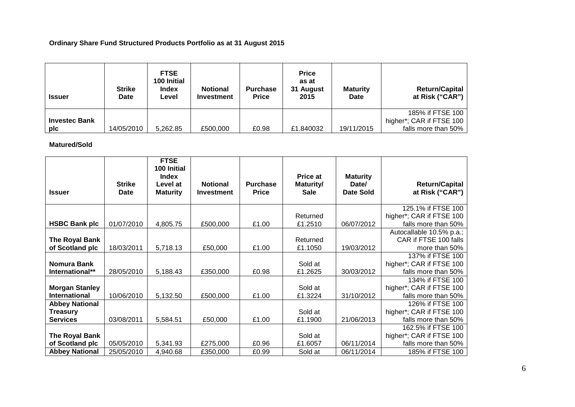# **Ordinary Share Fund Structured Products Portfolio as at 31 August 2015**

| <b>Issuer</b>        | <b>Strike</b><br>Date | <b>FTSE</b><br>100 Initial<br><b>Index</b><br>Level | <b>Notional</b><br><b>Investment</b> | <b>Purchase</b><br><b>Price</b> | <b>Price</b><br>as at<br>31 August<br>2015 | <b>Maturity</b><br><b>Date</b> | <b>Return/Capital</b><br>at Risk ("CAR") |
|----------------------|-----------------------|-----------------------------------------------------|--------------------------------------|---------------------------------|--------------------------------------------|--------------------------------|------------------------------------------|
|                      |                       |                                                     |                                      |                                 |                                            |                                | 185% if FTSE 100                         |
| <b>Investec Bank</b> |                       |                                                     |                                      |                                 |                                            |                                | higher*; CAR if FTSE 100                 |
| pic                  | 14/05/2010            | 5,262.85                                            | £500,000                             | £0.98                           | £1.840032                                  | 19/11/2015                     | falls more than 50%                      |

**Matured/Sold**

| <b>Issuer</b>                                               | <b>Strike</b><br>Date    | <b>FTSE</b><br>100 Initial<br><b>Index</b><br>Level at<br><b>Maturity</b> | <b>Notional</b><br>Investment | <b>Purchase</b><br><b>Price</b> | Price at<br>Maturity/<br><b>Sale</b> | <b>Maturity</b><br>Date/<br><b>Date Sold</b> | <b>Return/Capital</b><br>at Risk ("CAR")                                                  |
|-------------------------------------------------------------|--------------------------|---------------------------------------------------------------------------|-------------------------------|---------------------------------|--------------------------------------|----------------------------------------------|-------------------------------------------------------------------------------------------|
| <b>HSBC Bank plc</b>                                        | 01/07/2010               | 4,805.75                                                                  | £500,000                      | £1.00                           | Returned<br>£1.2510                  | 06/07/2012                                   | 125.1% if FTSE 100<br>higher*; CAR if FTSE 100<br>falls more than 50%                     |
| The Royal Bank<br>of Scotland plc                           | 18/03/2011               | 5,718.13                                                                  | £50,000                       | £1.00                           | Returned<br>£1.1050                  | 19/03/2012                                   | Autocallable 10.5% p.a.;<br>CAR if FTSE 100 falls<br>more than 50%                        |
| <b>Nomura Bank</b><br>International**                       | 28/05/2010               | 5,188.43                                                                  | £350,000                      | £0.98                           | Sold at<br>£1.2625                   | 30/03/2012                                   | 137% if FTSE 100<br>higher*; CAR if FTSE 100<br>falls more than 50%                       |
| <b>Morgan Stanley</b><br><b>International</b>               | 10/06/2010               | 5,132.50                                                                  | £500,000                      | £1.00                           | Sold at<br>£1.3224                   | 31/10/2012                                   | 134% if FTSE 100<br>higher*; CAR if FTSE 100<br>falls more than 50%                       |
| <b>Abbey National</b><br><b>Treasury</b><br><b>Services</b> | 03/08/2011               | 5,584.51                                                                  | £50,000                       | £1.00                           | Sold at<br>£1.1900                   | 21/06/2013                                   | 126% if FTSE 100<br>higher*; CAR if FTSE 100<br>falls more than 50%                       |
| The Royal Bank<br>of Scotland plc<br><b>Abbey National</b>  | 05/05/2010<br>25/05/2010 | 5,341.93<br>4,940.68                                                      | £275,000<br>£350,000          | £0.96<br>£0.99                  | Sold at<br>£1.6057<br>Sold at        | 06/11/2014<br>06/11/2014                     | 162.5% if FTSE 100<br>higher*; CAR if FTSE 100<br>falls more than 50%<br>185% if FTSE 100 |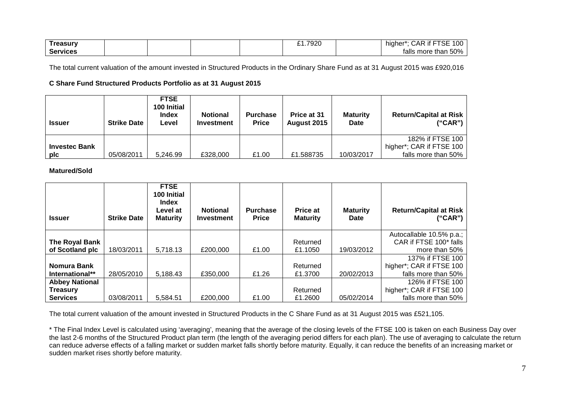| asu             |  |  | $-700c$<br>ъ. | $- - - -$<br>$\sim$<br>.<br>.JAP.<br>-it<br>าıaneı<br>SЕ<br>vu<br>. . |
|-----------------|--|--|---------------|-----------------------------------------------------------------------|
| <b>Services</b> |  |  |               | 50%<br>more<br>talls<br>tnar                                          |

The total current valuation of the amount invested in Structured Products in the Ordinary Share Fund as at 31 August 2015 was £920,016

# **C Share Fund Structured Products Portfolio as at 31 August 2015**

| <b>Issuer</b>        | <b>Strike Date</b> | <b>FTSE</b><br>100 Initial<br><b>Index</b><br>Level | <b>Notional</b><br><b>Investment</b> | <b>Purchase</b><br><b>Price</b> | Price at 31<br><b>August 2015</b> | <b>Maturity</b><br><b>Date</b> | <b>Return/Capital at Risk</b><br>("CAR") |
|----------------------|--------------------|-----------------------------------------------------|--------------------------------------|---------------------------------|-----------------------------------|--------------------------------|------------------------------------------|
|                      |                    |                                                     |                                      |                                 |                                   |                                | 182% if FTSE 100                         |
| <b>Investec Bank</b> |                    |                                                     |                                      |                                 |                                   |                                | higher*; CAR if FTSE 100                 |
| plc                  | 05/08/2011         | 5.246.99                                            | £328,000                             | £1.00                           | £1.588735                         | 10/03/2017                     | falls more than 50%                      |

**Matured/Sold**

| <b>Issuer</b>         | <b>Strike Date</b> | <b>FTSE</b><br>100 Initial<br>Index<br>Level at<br><b>Maturity</b> | <b>Notional</b><br><b>Investment</b> | <b>Purchase</b><br><b>Price</b> | Price at<br><b>Maturity</b> | <b>Maturity</b><br><b>Date</b> | <b>Return/Capital at Risk</b><br>("CAR") |
|-----------------------|--------------------|--------------------------------------------------------------------|--------------------------------------|---------------------------------|-----------------------------|--------------------------------|------------------------------------------|
|                       |                    |                                                                    |                                      |                                 |                             |                                | Autocallable 10.5% p.a.;                 |
| The Royal Bank        |                    |                                                                    |                                      |                                 | Returned                    |                                | CAR if FTSE 100* falls                   |
| of Scotland plc       | 18/03/2011         | 5.718.13                                                           | £200,000                             | £1.00                           | £1.1050                     | 19/03/2012                     | more than 50%                            |
|                       |                    |                                                                    |                                      |                                 |                             |                                | 137% if FTSE 100                         |
| Nomura Bank           |                    |                                                                    |                                      |                                 | Returned                    |                                | higher*; CAR if FTSE 100                 |
| International**       | 28/05/2010         | 5.188.43                                                           | £350,000                             | £1.26                           | £1.3700                     | 20/02/2013                     | falls more than 50%                      |
| <b>Abbey National</b> |                    |                                                                    |                                      |                                 |                             |                                | 126% if FTSE 100                         |
| <b>Treasury</b>       |                    |                                                                    |                                      |                                 | Returned                    |                                | higher*; CAR if FTSE 100                 |
| <b>Services</b>       | 03/08/2011         | 5.584.51                                                           | £200,000                             | £1.00                           | £1.2600                     | 05/02/2014                     | falls more than 50%                      |

The total current valuation of the amount invested in Structured Products in the C Share Fund as at 31 August 2015 was £521,105.

\* The Final Index Level is calculated using 'averaging', meaning that the average of the closing levels of the FTSE 100 is taken on each Business Day over the last 2-6 months of the Structured Product plan term (the length of the averaging period differs for each plan). The use of averaging to calculate the return can reduce adverse effects of a falling market or sudden market falls shortly before maturity. Equally, it can reduce the benefits of an increasing market or sudden market rises shortly before maturity.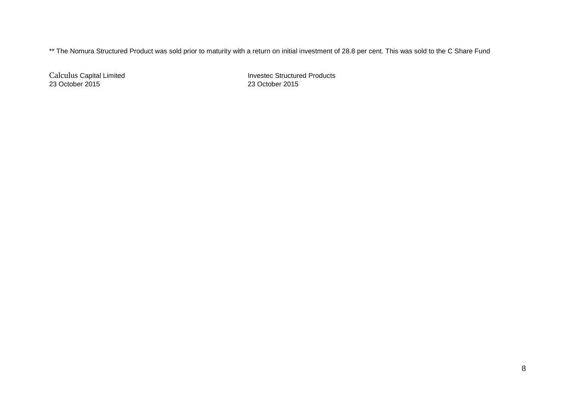\*\* The Nomura Structured Product was sold prior to maturity with a return on initial investment of 28.8 per cent. This was sold to the C Share Fund

23 October 2015 23 October 2015

Calculus Capital Limited **Invested Invested Structured Products**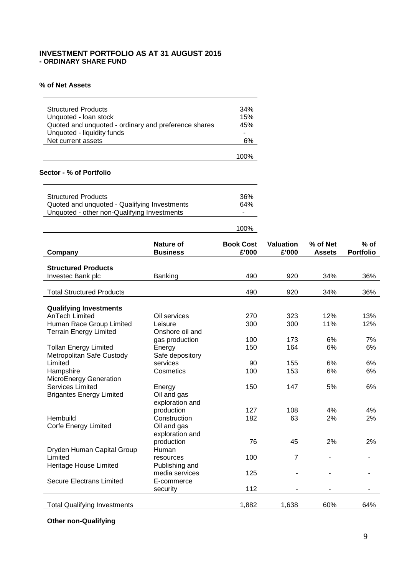# **INVESTMENT PORTFOLIO AS AT 31 AUGUST 2015 - ORDINARY SHARE FUND**

## **% of Net Assets**

| Net current assets | Unquoted - Ioan stock<br>Quoted and unquoted - ordinary and preference shares<br>45%<br>Unquoted - liquidity funds<br>۰<br>6% |
|--------------------|-------------------------------------------------------------------------------------------------------------------------------|
|                    | 1በበ%                                                                                                                          |

### **Sector - % of Portfolio**

| <b>Structured Products</b>                   | 36% |
|----------------------------------------------|-----|
| Quoted and unquoted - Qualifying Investments | 64% |
| Unquoted - other non-Qualifying Investments  | ۰   |
|                                              |     |

| Company                                                | <b>Nature of</b><br><b>Business</b> | <b>Book Cost</b><br>£'000 | <b>Valuation</b><br>£'000 | % of Net<br><b>Assets</b> | $%$ of<br><b>Portfolio</b> |
|--------------------------------------------------------|-------------------------------------|---------------------------|---------------------------|---------------------------|----------------------------|
| <b>Structured Products</b>                             |                                     |                           |                           |                           |                            |
| Investec Bank plc                                      | Banking                             | 490                       | 920                       | 34%                       | 36%                        |
| <b>Total Structured Products</b>                       |                                     | 490                       | 920                       | 34%                       | 36%                        |
|                                                        |                                     |                           |                           |                           |                            |
| <b>Qualifying Investments</b><br><b>AnTech Limited</b> |                                     |                           |                           |                           |                            |
|                                                        | Oil services                        | 270                       | 323                       | 12%                       | 13%                        |
| Human Race Group Limited                               | Leisure                             | 300                       | 300                       | 11%                       | 12%                        |
| <b>Terrain Energy Limited</b>                          | Onshore oil and                     |                           |                           |                           |                            |
|                                                        | gas production                      | 100                       | 173                       | 6%                        | 7%                         |
| <b>Tollan Energy Limited</b>                           | Energy                              | 150                       | 164                       | 6%                        | 6%                         |
| Metropolitan Safe Custody                              | Safe depository                     |                           |                           |                           |                            |
| Limited                                                | services                            | 90                        | 155                       | 6%                        | 6%                         |
| Hampshire                                              | Cosmetics                           | 100                       | 153                       | 6%                        | 6%                         |
| MicroEnergy Generation                                 |                                     |                           |                           |                           |                            |
| <b>Services Limited</b>                                | Energy                              | 150                       | 147                       | 5%                        | 6%                         |
| <b>Brigantes Energy Limited</b>                        | Oil and gas                         |                           |                           |                           |                            |
|                                                        | exploration and                     |                           |                           |                           |                            |
|                                                        | production                          | 127                       | 108                       | 4%                        | 4%                         |
| Hembuild                                               | Construction                        | 182                       | 63                        | 2%                        | 2%                         |
| Corfe Energy Limited                                   | Oil and gas                         |                           |                           |                           |                            |
|                                                        | exploration and                     |                           |                           |                           |                            |
|                                                        | production                          | 76                        | 45                        | 2%                        | 2%                         |
| Dryden Human Capital Group                             | Human                               |                           |                           |                           |                            |
| Limited                                                | resources                           | 100                       | $\overline{7}$            |                           |                            |
| Heritage House Limited                                 | Publishing and                      |                           |                           |                           |                            |
|                                                        | media services                      | 125                       |                           |                           |                            |
| Secure Electrans Limited                               | E-commerce                          |                           |                           |                           |                            |
|                                                        | security                            | 112                       | $\blacksquare$            | $\blacksquare$            |                            |
|                                                        |                                     |                           |                           |                           |                            |
| <b>Total Qualifying Investments</b>                    |                                     | 1,882                     | 1,638                     | 60%                       | 64%                        |

100%

# **Other non-Qualifying**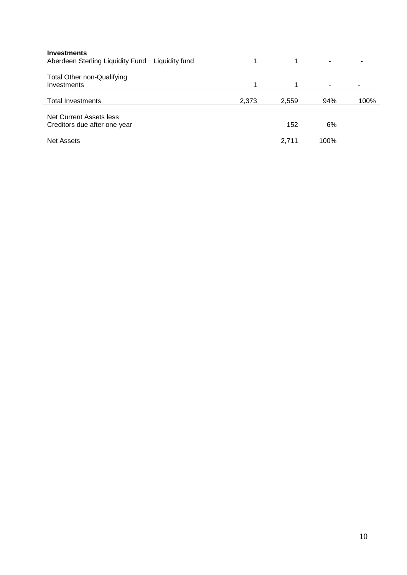| <b>Investments</b>               |                |       |       |                          |      |
|----------------------------------|----------------|-------|-------|--------------------------|------|
| Aberdeen Sterling Liquidity Fund | Liquidity fund |       |       | $\overline{\phantom{a}}$ | ۰    |
|                                  |                |       |       |                          |      |
| Total Other non-Qualifying       |                |       |       |                          |      |
| Investments                      |                |       |       | ٠                        |      |
|                                  |                |       |       |                          |      |
| <b>Total Investments</b>         |                | 2,373 | 2,559 | 94%                      | 100% |
|                                  |                |       |       |                          |      |
| Net Current Assets less          |                |       |       |                          |      |
| Creditors due after one year     |                |       | 152   | 6%                       |      |
|                                  |                |       |       |                          |      |
| <b>Net Assets</b>                |                |       | 2,711 | 100%                     |      |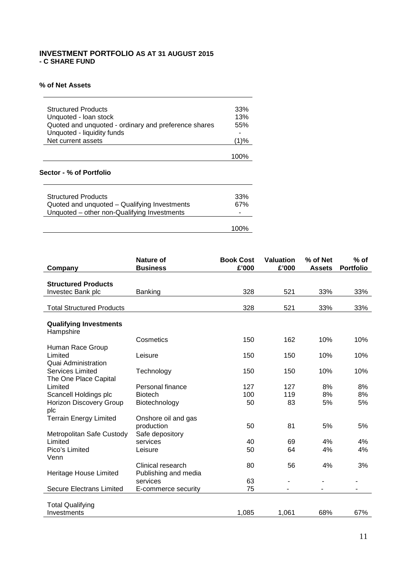# **INVESTMENT PORTFOLIO AS AT 31 AUGUST 2015 - C SHARE FUND**

# **% of Net Assets**

| Sector - % of Portfolio                                                                                     |            |
|-------------------------------------------------------------------------------------------------------------|------------|
|                                                                                                             | 100%       |
| Net current assets                                                                                          | (1)%       |
| Unquoted - Ioan stock<br>Quoted and unquoted - ordinary and preference shares<br>Unquoted - liquidity funds | 13%<br>55% |
| <b>Structured Products</b>                                                                                  | 33%        |

| <b>Structured Products</b>                   | 33%  |
|----------------------------------------------|------|
| Quoted and unquoted - Qualifying Investments | 67%  |
| Unquoted – other non-Qualifying Investments  |      |
|                                              |      |
|                                              | 100% |
|                                              |      |

| Company                                                   | Nature of<br><b>Business</b>              | <b>Book Cost</b><br>£'000 | <b>Valuation</b><br>£'000 | % of Net<br><b>Assets</b> | $%$ of<br><b>Portfolio</b> |
|-----------------------------------------------------------|-------------------------------------------|---------------------------|---------------------------|---------------------------|----------------------------|
|                                                           |                                           |                           |                           |                           |                            |
| <b>Structured Products</b>                                |                                           |                           |                           |                           |                            |
| Investec Bank plc                                         | Banking                                   | 328                       | 521                       | 33%                       | 33%                        |
|                                                           |                                           |                           |                           |                           |                            |
| <b>Total Structured Products</b>                          |                                           | 328                       | 521                       | 33%                       | 33%                        |
| <b>Qualifying Investments</b><br>Hampshire                |                                           |                           |                           |                           |                            |
|                                                           | Cosmetics                                 | 150                       | 162                       | 10%                       | 10%                        |
| Human Race Group<br>Limited<br><b>Quai Administration</b> | Leisure                                   | 150                       | 150                       | 10%                       | 10%                        |
| <b>Services Limited</b><br>The One Place Capital          | Technology                                | 150                       | 150                       | 10%                       | 10%                        |
| Limited                                                   | Personal finance                          | 127                       | 127                       | 8%                        | 8%                         |
| Scancell Holdings plc                                     | <b>Biotech</b>                            | 100                       | 119                       | 8%                        | 8%                         |
| <b>Horizon Discovery Group</b><br>plc                     | Biotechnology                             | 50                        | 83                        | 5%                        | 5%                         |
| <b>Terrain Energy Limited</b>                             | Onshore oil and gas                       |                           |                           |                           |                            |
| Metropolitan Safe Custody                                 | production<br>Safe depository             | 50                        | 81                        | 5%                        | 5%                         |
| Limited                                                   | services                                  | 40                        | 69                        | 4%                        | 4%                         |
| Pico's Limited<br>Venn                                    | Leisure                                   | 50                        | 64                        | 4%                        | 4%                         |
| Heritage House Limited                                    | Clinical research<br>Publishing and media | 80                        | 56                        | 4%                        | 3%                         |
|                                                           | services                                  | 63                        | $\blacksquare$            | -                         |                            |
| <b>Secure Electrans Limited</b>                           | E-commerce security                       | 75                        |                           |                           |                            |
| <b>Total Qualifying</b>                                   |                                           |                           |                           |                           |                            |
| Investments                                               |                                           | 1,085                     | 1,061                     | 68%                       | 67%                        |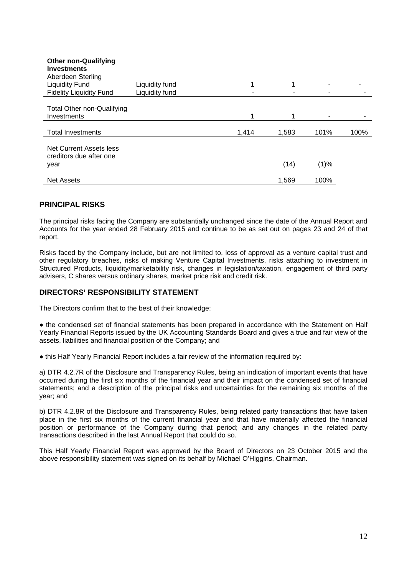| <b>Other non-Qualifying</b><br><b>Investments</b><br>Aberdeen Sterling |                |       |       |      |      |
|------------------------------------------------------------------------|----------------|-------|-------|------|------|
| <b>Liquidity Fund</b>                                                  | Liquidity fund | 1     | 1     | -    |      |
| <b>Fidelity Liquidity Fund</b>                                         | Liquidity fund |       |       |      |      |
|                                                                        |                |       |       |      |      |
| Total Other non-Qualifying                                             |                |       |       |      |      |
| Investments                                                            |                | 1     | 1     |      |      |
| <b>Total Investments</b>                                               |                | 1,414 | 1,583 | 101% | 100% |
| Net Current Assets less<br>creditors due after one                     |                |       |       |      |      |
| vear                                                                   |                |       | (14)  | (1)% |      |
|                                                                        |                |       |       |      |      |
| <b>Net Assets</b>                                                      |                |       | 1,569 | 100% |      |

# **PRINCIPAL RISKS**

The principal risks facing the Company are substantially unchanged since the date of the Annual Report and Accounts for the year ended 28 February 2015 and continue to be as set out on pages 23 and 24 of that report.

Risks faced by the Company include, but are not limited to, loss of approval as a venture capital trust and other regulatory breaches, risks of making Venture Capital Investments, risks attaching to investment in Structured Products, liquidity/marketability risk, changes in legislation/taxation, engagement of third party advisers, C shares versus ordinary shares, market price risk and credit risk.

# **DIRECTORS' RESPONSIBILITY STATEMENT**

The Directors confirm that to the best of their knowledge:

● the condensed set of financial statements has been prepared in accordance with the Statement on Half Yearly Financial Reports issued by the UK Accounting Standards Board and gives a true and fair view of the assets, liabilities and financial position of the Company; and

● this Half Yearly Financial Report includes a fair review of the information required by:

a) DTR 4.2.7R of the Disclosure and Transparency Rules, being an indication of important events that have occurred during the first six months of the financial year and their impact on the condensed set of financial statements; and a description of the principal risks and uncertainties for the remaining six months of the year; and

b) DTR 4.2.8R of the Disclosure and Transparency Rules, being related party transactions that have taken place in the first six months of the current financial year and that have materially affected the financial position or performance of the Company during that period; and any changes in the related party transactions described in the last Annual Report that could do so.

This Half Yearly Financial Report was approved by the Board of Directors on 23 October 2015 and the above responsibility statement was signed on its behalf by Michael O'Higgins, Chairman.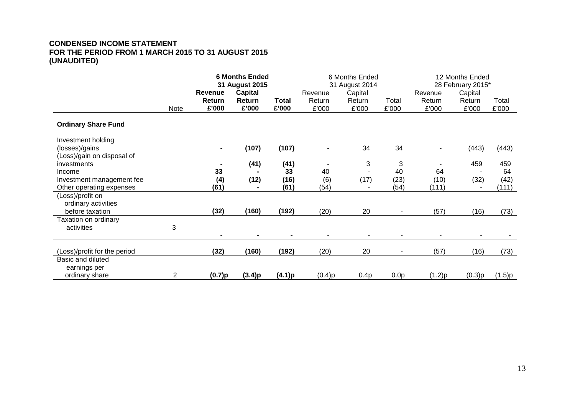# **CONDENSED INCOME STATEMENT FOR THE PERIOD FROM 1 MARCH 2015 TO 31 AUGUST 2015 (UNAUDITED)**

|                                                       |      | <b>6 Months Ended</b><br>31 August 2015<br>Capital<br>Revenue |                 |                | 6 Months Ended<br>31 August 2014<br>Capital<br>Revenue |                 |                  | 12 Months Ended<br>28 February 2015*<br>Capital<br>Revenue |                 |                |
|-------------------------------------------------------|------|---------------------------------------------------------------|-----------------|----------------|--------------------------------------------------------|-----------------|------------------|------------------------------------------------------------|-----------------|----------------|
|                                                       | Note | Return<br>£'000                                               | Return<br>£'000 | Total<br>£'000 | Return<br>£'000                                        | Return<br>£'000 | Total<br>£'000   | Return<br>£'000                                            | Return<br>£'000 | Total<br>£'000 |
| <b>Ordinary Share Fund</b>                            |      |                                                               |                 |                |                                                        |                 |                  |                                                            |                 |                |
| Investment holding<br>(losses)/gains                  |      |                                                               | (107)           | (107)          |                                                        | 34              | 34               |                                                            | (443)           | (443)          |
| (Loss)/gain on disposal of<br>investments             |      |                                                               | (41)            | (41)           |                                                        | 3               | 3                |                                                            | 459             | 459            |
| Income                                                |      | 33                                                            |                 | 33             | 40                                                     |                 | 40               | 64                                                         |                 | 64             |
| Investment management fee<br>Other operating expenses |      | (4)<br>(61)                                                   | (12)            | (16)<br>(61)   | (6)<br>(54)                                            | (17)            | (23)<br>(54)     | (10)<br>(111)                                              | (32)            | (42)<br>(111)  |
| (Loss)/profit on<br>ordinary activities               |      |                                                               |                 |                |                                                        |                 |                  |                                                            |                 |                |
| before taxation                                       |      | (32)                                                          | (160)           | (192)          | (20)                                                   | 20              |                  | (57)                                                       | (16)            | (73)           |
| Taxation on ordinary<br>activities                    | 3    |                                                               |                 |                |                                                        |                 |                  |                                                            |                 |                |
|                                                       |      |                                                               |                 |                |                                                        |                 |                  |                                                            |                 |                |
| (Loss)/profit for the period                          |      | (32)                                                          | (160)           | (192)          | (20)                                                   | 20              |                  | (57)                                                       | (16)            | (73)           |
| Basic and diluted<br>earnings per                     |      |                                                               |                 |                |                                                        |                 |                  |                                                            |                 |                |
| ordinary share                                        | 2    | (0.7)p                                                        | (3.4)p          | (4.1)p         | (0.4)p                                                 | 0.4p            | 0.0 <sub>p</sub> | (1.2)p                                                     | (0.3)p          | (1.5)p         |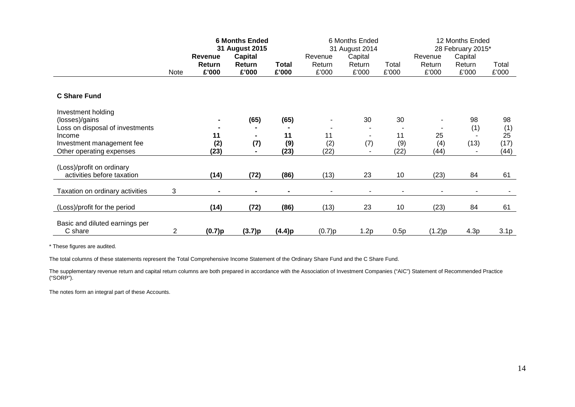|                                                       |                | <b>6 Months Ended</b><br>31 August 2015 |                |              | 6 Months Ended<br>31 August 2014 |                          |             | 12 Months Ended<br>28 February 2015* |        |                  |
|-------------------------------------------------------|----------------|-----------------------------------------|----------------|--------------|----------------------------------|--------------------------|-------------|--------------------------------------|--------|------------------|
|                                                       |                | <b>Revenue</b>                          | <b>Capital</b> |              | Revenue                          | Capital                  |             | Capital<br>Revenue                   |        |                  |
|                                                       |                | Return                                  | Return         | <b>Total</b> | Return                           | Return                   | Total       | Return                               | Return | Total            |
|                                                       | Note           | £'000                                   | £'000          | £'000        | £'000                            | £'000                    | £'000       | £'000                                | £'000  | £'000            |
|                                                       |                |                                         |                |              |                                  |                          |             |                                      |        |                  |
| <b>C Share Fund</b>                                   |                |                                         |                |              |                                  |                          |             |                                      |        |                  |
| Investment holding                                    |                |                                         |                |              |                                  |                          |             |                                      |        |                  |
| (losses)/gains                                        |                |                                         | (65)           | (65)         |                                  | 30                       | 30          |                                      | 98     | 98               |
| Loss on disposal of investments                       |                |                                         |                |              |                                  |                          |             |                                      | (1)    | (1)              |
| Income                                                |                | 11                                      |                | 11           | 11                               | $\overline{\phantom{a}}$ | 11          | 25                                   |        | 25               |
| Investment management fee<br>Other operating expenses |                | (2)<br>(23)                             | (7)            | (9)<br>(23)  | (2)<br>(22)                      | (7)                      | (9)<br>(22) | (4)<br>(44)                          | (13)   | (17)<br>(44)     |
|                                                       |                |                                         |                |              |                                  |                          |             |                                      |        |                  |
| (Loss)/profit on ordinary                             |                |                                         |                |              |                                  |                          |             |                                      |        |                  |
| activities before taxation                            |                | (14)                                    | (72)           | (86)         | (13)                             | 23                       | 10          | (23)                                 | 84     | 61               |
| Taxation on ordinary activities                       | 3              |                                         |                |              |                                  |                          |             |                                      |        |                  |
|                                                       |                |                                         |                |              |                                  |                          |             |                                      |        |                  |
| (Loss)/profit for the period                          |                | (14)                                    | (72)           | (86)         | (13)                             | 23                       | 10          | (23)                                 | 84     | 61               |
|                                                       |                |                                         |                |              |                                  |                          |             |                                      |        |                  |
| Basic and diluted earnings per<br>C share             | $\overline{2}$ | (0.7)p                                  | (3.7)p         | (4.4)p       | (0.7)p                           | 1.2p                     | 0.5p        | (1.2)p                               | 4.3p   | 3.1 <sub>p</sub> |
|                                                       |                |                                         |                |              |                                  |                          |             |                                      |        |                  |

The total columns of these statements represent the Total Comprehensive Income Statement of the Ordinary Share Fund and the C Share Fund.

The supplementary revenue return and capital return columns are both prepared in accordance with the Association of Investment Companies ("AIC") Statement of Recommended Practice ("SORP").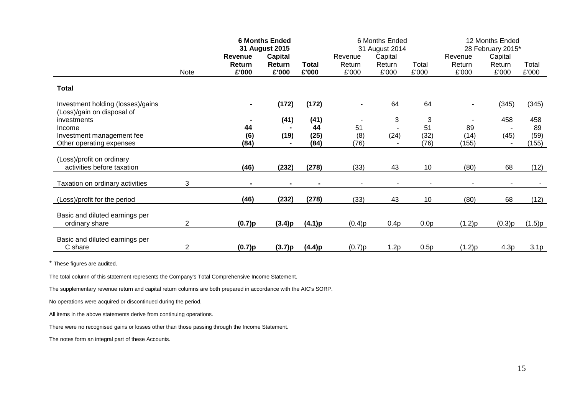|                                                                 |      | <b>6 Months Ended</b><br>31 August 2015 |                |              | 6 Months Ended<br>31 August 2014 |         |                  | 12 Months Ended<br>28 February 2015* |         |                  |
|-----------------------------------------------------------------|------|-----------------------------------------|----------------|--------------|----------------------------------|---------|------------------|--------------------------------------|---------|------------------|
|                                                                 |      | <b>Revenue</b>                          | <b>Capital</b> |              | Revenue                          | Capital |                  | Revenue                              | Capital |                  |
|                                                                 |      | Return                                  | Return         | <b>Total</b> | Return                           | Return  | Total            | Return                               | Return  | Total            |
|                                                                 | Note | £'000                                   | £'000          | £'000        | £'000                            | £'000   | £'000            | £'000                                | £'000   | £'000            |
| <b>Total</b>                                                    |      |                                         |                |              |                                  |         |                  |                                      |         |                  |
| Investment holding (losses)/gains<br>(Loss)/gain on disposal of |      |                                         | (172)          | (172)        |                                  | 64      | 64               | $\overline{\phantom{a}}$             | (345)   | (345)            |
| investments                                                     |      |                                         | (41)           | (41)         |                                  | 3       | 3                |                                      | 458     | 458              |
| Income                                                          |      | 44                                      |                | 44           | 51                               |         | 51               | 89                                   |         | 89               |
| Investment management fee                                       |      | (6)                                     | (19)           | (25)         | (8)                              | (24)    | (32)             | (14)                                 | (45)    | (59)             |
| Other operating expenses                                        |      | (84)                                    |                | (84)         | (76)                             |         | (76)             | (155)                                |         | (155)            |
| (Loss)/profit on ordinary<br>activities before taxation         |      | (46)                                    | (232)          | (278)        | (33)                             | 43      | 10               | (80)                                 | 68      | (12)             |
| Taxation on ordinary activities                                 | 3    |                                         |                |              |                                  |         |                  |                                      |         |                  |
| (Loss)/profit for the period                                    |      | (46)                                    | (232)          | (278)        | (33)                             | 43      | 10               | (80)                                 | 68      | (12)             |
| Basic and diluted earnings per<br>ordinary share                | 2    | (0.7)p                                  | (3.4)p         | (4.1)p       | (0.4)p                           | 0.4p    | 0.0 <sub>p</sub> | (1.2)p                               | (0.3)p  | (1.5)p           |
| Basic and diluted earnings per<br>C share                       | 2    | (0.7)p                                  | (3.7)p         | (4.4)p       | (0.7)p                           | 1.2p    | 0.5p             | (1.2)p                               | 4.3p    | 3.1 <sub>p</sub> |

The total column of this statement represents the Company's Total Comprehensive Income Statement.

The supplementary revenue return and capital return columns are both prepared in accordance with the AIC's SORP.

No operations were acquired or discontinued during the period.

All items in the above statements derive from continuing operations.

There were no recognised gains or losses other than those passing through the Income Statement.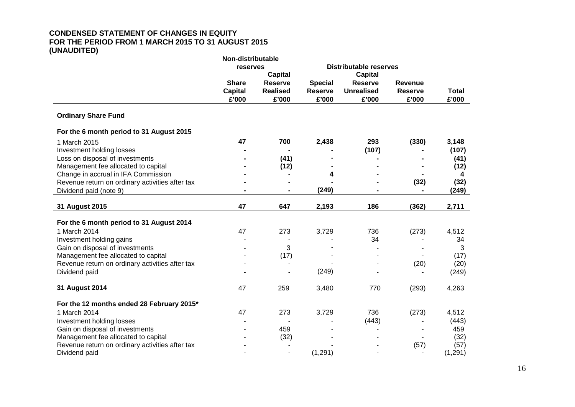#### **CONDENSED STATEMENT OF CHANGES IN EQUITY FOR THE PERIOD FROM 1 MARCH 2015 TO 31 AUGUST 2015 (UNAUDITED) Non-distributable**

|                                                 | Non-distributable |                 |                |                               |                |              |
|-------------------------------------------------|-------------------|-----------------|----------------|-------------------------------|----------------|--------------|
|                                                 | reserves          |                 |                | <b>Distributable reserves</b> |                |              |
|                                                 |                   | <b>Capital</b>  |                | <b>Capital</b>                |                |              |
|                                                 | <b>Share</b>      | <b>Reserve</b>  | <b>Special</b> | <b>Reserve</b>                | <b>Revenue</b> |              |
|                                                 | <b>Capital</b>    | <b>Realised</b> | <b>Reserve</b> | <b>Unrealised</b>             | <b>Reserve</b> | <b>Total</b> |
|                                                 | £'000             | £'000           | £'000          | £'000                         | £'000          | £'000        |
| <b>Ordinary Share Fund</b>                      |                   |                 |                |                               |                |              |
| For the 6 month period to 31 August 2015        |                   |                 |                |                               |                |              |
| 1 March 2015                                    | 47                | 700             | 2,438          | 293                           | (330)          | 3,148        |
| Investment holding losses                       |                   |                 |                | (107)                         |                | (107)        |
| Loss on disposal of investments                 |                   | (41)            |                |                               |                | (41)         |
| Management fee allocated to capital             |                   | (12)            |                |                               |                | (12)         |
| Change in accrual in IFA Commission             |                   |                 | 4              |                               |                | 4            |
| Revenue return on ordinary activities after tax |                   |                 |                |                               | (32)           | (32)         |
| Dividend paid (note 9)                          |                   |                 | (249)          |                               |                | (249)        |
|                                                 |                   |                 |                |                               |                |              |
| 31 August 2015                                  | 47                | 647             | 2,193          | 186                           | (362)          | 2,711        |
|                                                 |                   |                 |                |                               |                |              |
| For the 6 month period to 31 August 2014        |                   |                 |                |                               |                |              |
| 1 March 2014                                    | 47                | 273             | 3,729          | 736                           | (273)          | 4,512        |
| Investment holding gains                        |                   |                 |                | 34                            |                | 34           |
| Gain on disposal of investments                 |                   | 3               |                |                               |                | 3            |
| Management fee allocated to capital             |                   | (17)            |                |                               |                | (17)         |
| Revenue return on ordinary activities after tax |                   |                 |                |                               | (20)           | (20)         |
| Dividend paid                                   |                   |                 | (249)          |                               | $\sim$         | (249)        |
| 31 August 2014                                  | 47                | 259             | 3,480          | 770                           | (293)          | 4,263        |
|                                                 |                   |                 |                |                               |                |              |
| For the 12 months ended 28 February 2015*       |                   |                 |                |                               |                |              |
| 1 March 2014                                    | 47                | 273             | 3,729          | 736                           | (273)          | 4,512        |
| Investment holding losses                       |                   |                 |                | (443)                         |                | (443)        |
| Gain on disposal of investments                 |                   | 459             |                |                               |                | 459          |
| Management fee allocated to capital             |                   | (32)            |                |                               |                | (32)         |
| Revenue return on ordinary activities after tax |                   |                 |                |                               | (57)           | (57)         |
| Dividend paid                                   |                   |                 | (1,291)        |                               |                | (1, 291)     |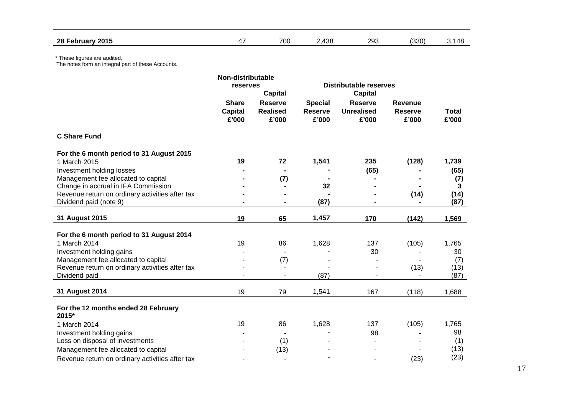| 2015<br>28 F<br>-ebruary | $\overline{\phantom{a}}$ | 700 | 100<br>rvu | วดว<br>– ⊃ | (330) | п. 41 |
|--------------------------|--------------------------|-----|------------|------------|-------|-------|
|                          |                          |     |            |            |       |       |

|                                                                 | Non-distributable |                 |                |                               |                |              |
|-----------------------------------------------------------------|-------------------|-----------------|----------------|-------------------------------|----------------|--------------|
|                                                                 | reserves          |                 |                | <b>Distributable reserves</b> |                |              |
|                                                                 |                   | <b>Capital</b>  |                | <b>Capital</b>                |                |              |
|                                                                 | <b>Share</b>      | <b>Reserve</b>  | <b>Special</b> | <b>Reserve</b>                | <b>Revenue</b> |              |
|                                                                 | <b>Capital</b>    | <b>Realised</b> | <b>Reserve</b> | <b>Unrealised</b>             | <b>Reserve</b> | <b>Total</b> |
|                                                                 | £'000             | £'000           | £'000          | £'000                         | £'000          | £'000        |
| <b>C Share Fund</b>                                             |                   |                 |                |                               |                |              |
| For the 6 month period to 31 August 2015                        |                   |                 |                |                               |                |              |
| 1 March 2015                                                    | 19                | 72              | 1,541          | 235                           | (128)          | 1,739        |
| Investment holding losses                                       |                   |                 |                | (65)                          |                | (65)         |
| Management fee allocated to capital                             |                   | (7)             |                |                               |                | (7)          |
| Change in accrual in IFA Commission                             |                   |                 | 32             |                               |                | 3            |
| Revenue return on ordinary activities after tax                 |                   |                 |                |                               | (14)           | (14)         |
| Dividend paid (note 9)                                          |                   |                 | (87)           |                               |                | (87)         |
| 31 August 2015                                                  | 19                | 65              | 1,457          | 170                           | (142)          | 1,569        |
|                                                                 |                   |                 |                |                               |                |              |
| For the 6 month period to 31 August 2014                        |                   |                 |                |                               |                |              |
| 1 March 2014                                                    | 19                | 86              | 1,628          | 137                           | (105)          | 1,765        |
| Investment holding gains<br>Management fee allocated to capital |                   |                 |                | 30                            |                | 30           |
| Revenue return on ordinary activities after tax                 |                   | (7)             |                |                               | (13)           | (7)<br>(13)  |
| Dividend paid                                                   |                   |                 | (87)           |                               |                | (87)         |
|                                                                 |                   |                 |                |                               |                |              |
| 31 August 2014                                                  | 19                | 79              | 1,541          | 167                           | (118)          | 1,688        |
| For the 12 months ended 28 February<br>2015*                    |                   |                 |                |                               |                |              |
| 1 March 2014                                                    | 19                | 86              | 1,628          | 137                           | (105)          | 1,765        |
| Investment holding gains                                        |                   |                 |                | 98                            |                | 98           |
| Loss on disposal of investments                                 |                   | (1)             |                |                               |                | (1)          |
| Management fee allocated to capital                             |                   | (13)            |                |                               |                | (13)         |
| Revenue return on ordinary activities after tax                 |                   |                 |                |                               | (23)           | (23)         |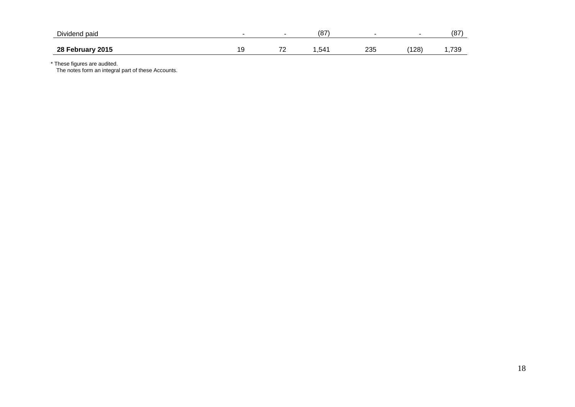| <b>Dividend</b><br>paid |                |                                 | 107<br>10 I |            |     | 107<br>ιo   |
|-------------------------|----------------|---------------------------------|-------------|------------|-----|-------------|
| 28 February 2015        | $\cdot$ $\sim$ | $\overline{\phantom{a}}$<br>. . | ,541        | າລະ<br>ںں∠ | 128 | 700<br>50 ، |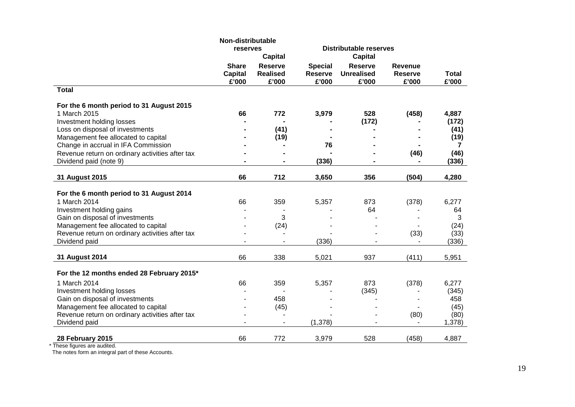|                                                 | Non-distributable                       |                                            |                                           |                                              |                                    |                       |
|-------------------------------------------------|-----------------------------------------|--------------------------------------------|-------------------------------------------|----------------------------------------------|------------------------------------|-----------------------|
|                                                 | reserves                                |                                            |                                           | <b>Distributable reserves</b>                |                                    |                       |
|                                                 |                                         | <b>Capital</b>                             |                                           | <b>Capital</b>                               |                                    |                       |
|                                                 | <b>Share</b><br><b>Capital</b><br>£'000 | <b>Reserve</b><br><b>Realised</b><br>£'000 | <b>Special</b><br><b>Reserve</b><br>£'000 | <b>Reserve</b><br><b>Unrealised</b><br>£'000 | Revenue<br><b>Reserve</b><br>£'000 | <b>Total</b><br>£'000 |
| <b>Total</b>                                    |                                         |                                            |                                           |                                              |                                    |                       |
| For the 6 month period to 31 August 2015        |                                         |                                            |                                           |                                              |                                    |                       |
| 1 March 2015                                    | 66                                      | 772                                        | 3,979                                     | 528                                          | (458)                              | 4,887                 |
| Investment holding losses                       |                                         |                                            |                                           | (172)                                        |                                    | (172)                 |
| Loss on disposal of investments                 |                                         | (41)                                       |                                           |                                              |                                    | (41)                  |
| Management fee allocated to capital             |                                         | (19)                                       |                                           |                                              |                                    | (19)                  |
| Change in accrual in IFA Commission             |                                         |                                            | 76                                        |                                              |                                    | 7                     |
| Revenue return on ordinary activities after tax |                                         |                                            |                                           |                                              | (46)                               | (46)                  |
| Dividend paid (note 9)                          |                                         |                                            | (336)                                     |                                              |                                    | (336)                 |
| 31 August 2015                                  | 66                                      | 712                                        | 3,650                                     | 356                                          | (504)                              | 4,280                 |
|                                                 |                                         |                                            |                                           |                                              |                                    |                       |
| For the 6 month period to 31 August 2014        |                                         |                                            |                                           |                                              |                                    |                       |
| 1 March 2014                                    | 66                                      | 359                                        | 5,357                                     | 873                                          | (378)                              | 6,277                 |
| Investment holding gains                        |                                         |                                            |                                           | 64                                           |                                    | 64                    |
| Gain on disposal of investments                 |                                         | 3                                          |                                           |                                              |                                    | 3                     |
| Management fee allocated to capital             |                                         | (24)                                       |                                           |                                              |                                    | (24)                  |
| Revenue return on ordinary activities after tax |                                         |                                            |                                           |                                              | (33)                               | (33)                  |
| Dividend paid                                   |                                         |                                            | (336)                                     |                                              |                                    | (336)                 |
| 31 August 2014                                  | 66                                      | 338                                        | 5,021                                     | 937                                          | (411)                              | 5,951                 |
|                                                 |                                         |                                            |                                           |                                              |                                    |                       |
| For the 12 months ended 28 February 2015*       |                                         |                                            |                                           |                                              |                                    |                       |
| 1 March 2014                                    | 66                                      | 359                                        | 5,357                                     | 873                                          | (378)                              | 6,277                 |
| Investment holding losses                       |                                         |                                            |                                           | (345)                                        |                                    | (345)                 |
| Gain on disposal of investments                 |                                         | 458                                        |                                           |                                              |                                    | 458                   |
| Management fee allocated to capital             |                                         | (45)                                       |                                           |                                              |                                    | (45)                  |
| Revenue return on ordinary activities after tax |                                         |                                            |                                           |                                              | (80)                               | (80)                  |
| Dividend paid                                   | ۰                                       | $\blacksquare$                             | (1,378)                                   |                                              | $\blacksquare$                     | 1,378                 |
| 28 February 2015                                | 66                                      | 772                                        | 3,979                                     | 528                                          | (458)                              | 4,887                 |
|                                                 |                                         |                                            |                                           |                                              |                                    |                       |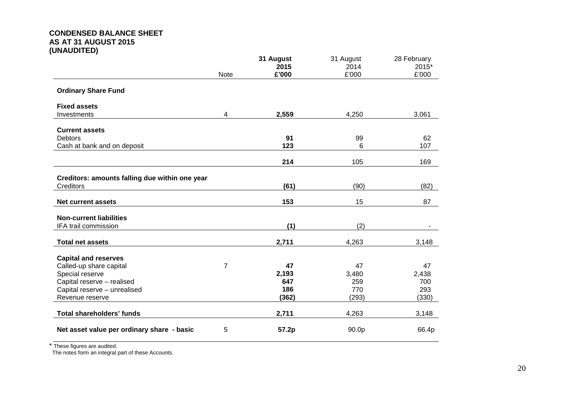# **CONDENSED BALANCE SHEET AS AT 31 AUGUST 2015 (UNAUDITED)**

|                                                |                | 31 August | 31 August | 28 February |
|------------------------------------------------|----------------|-----------|-----------|-------------|
|                                                |                | 2015      | 2014      | 2015*       |
|                                                | <b>Note</b>    | £'000     | £'000     | £'000       |
| <b>Ordinary Share Fund</b>                     |                |           |           |             |
| <b>Fixed assets</b>                            |                |           |           |             |
| Investments                                    | 4              | 2,559     | 4,250     | 3,061       |
| <b>Current assets</b>                          |                |           |           |             |
| <b>Debtors</b>                                 |                | 91        | 99        | 62          |
| Cash at bank and on deposit                    |                | 123       | 6         | 107         |
|                                                |                |           |           |             |
|                                                |                | 214       | 105       | 169         |
|                                                |                |           |           |             |
| Creditors: amounts falling due within one year |                |           |           |             |
| Creditors                                      |                | (61)      | (90)      | (82)        |
| <b>Net current assets</b>                      |                | 153       | 15        | 87          |
| <b>Non-current liabilities</b>                 |                |           |           |             |
| IFA trail commission                           |                | (1)       | (2)       |             |
| <b>Total net assets</b>                        |                | 2,711     | 4,263     | 3,148       |
|                                                |                |           |           |             |
| <b>Capital and reserves</b>                    |                |           |           |             |
| Called-up share capital                        | $\overline{7}$ | 47        | 47        | 47          |
| Special reserve                                |                | 2,193     | 3,480     | 2,438       |
| Capital reserve - realised                     |                | 647       | 259       | 700         |
| Capital reserve - unrealised                   |                | 186       | 770       | 293         |
| Revenue reserve                                |                | (362)     | (293)     | (330)       |
| <b>Total shareholders' funds</b>               |                | 2,711     | 4,263     | 3,148       |
| Net asset value per ordinary share - basic     | 5              | 57.2p     | 90.0p     | 66.4p       |

\* These figures are audited.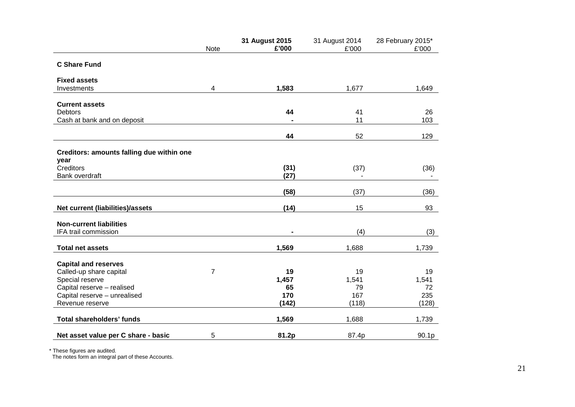|                                           | <b>Note</b>    | 31 August 2015<br>£'000 | 31 August 2014<br>£'000 | 28 February 2015*<br>£'000 |
|-------------------------------------------|----------------|-------------------------|-------------------------|----------------------------|
| <b>C Share Fund</b>                       |                |                         |                         |                            |
| <b>Fixed assets</b>                       |                |                         |                         |                            |
| Investments                               | 4              | 1,583                   | 1,677                   | 1,649                      |
| <b>Current assets</b>                     |                |                         |                         |                            |
| <b>Debtors</b>                            |                | 44                      | 41                      | 26                         |
| Cash at bank and on deposit               |                |                         | 11                      | 103                        |
|                                           |                | 44                      | 52                      | 129                        |
| Creditors: amounts falling due within one |                |                         |                         |                            |
| year                                      |                |                         |                         |                            |
| Creditors                                 |                | (31)                    | (37)                    | (36)                       |
| Bank overdraft                            |                | (27)                    |                         | $\blacksquare$             |
|                                           |                | (58)                    | (37)                    | (36)                       |
| Net current (liabilities)/assets          |                | (14)                    | 15                      | 93                         |
| <b>Non-current liabilities</b>            |                |                         |                         |                            |
| IFA trail commission                      |                |                         | (4)                     | (3)                        |
| <b>Total net assets</b>                   |                | 1,569                   | 1,688                   | 1,739                      |
| <b>Capital and reserves</b>               |                |                         |                         |                            |
| Called-up share capital                   | $\overline{7}$ | 19                      | 19                      | 19                         |
| Special reserve                           |                | 1,457                   | 1,541                   | 1,541                      |
| Capital reserve - realised                |                | 65                      | 79                      | 72                         |
| Capital reserve - unrealised              |                | 170                     | 167                     | 235                        |
| Revenue reserve                           |                | (142)                   | (118)                   | (128)                      |
| <b>Total shareholders' funds</b>          |                | 1,569                   | 1,688                   | 1,739                      |
| Net asset value per C share - basic       | 5              | 81.2p                   | 87.4p                   | 90.1p                      |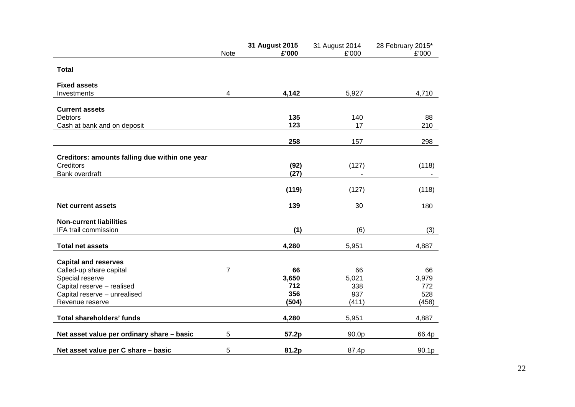|                                                | Note           | 31 August 2015<br>£'000 | 31 August 2014<br>£'000 | 28 February 2015*<br>£'000 |
|------------------------------------------------|----------------|-------------------------|-------------------------|----------------------------|
| <b>Total</b>                                   |                |                         |                         |                            |
| <b>Fixed assets</b>                            |                |                         |                         |                            |
| Investments                                    | 4              | 4,142                   | 5,927                   | 4,710                      |
| <b>Current assets</b>                          |                |                         |                         |                            |
| <b>Debtors</b>                                 |                | 135                     | 140                     | 88                         |
| Cash at bank and on deposit                    |                | 123                     | 17                      | 210                        |
|                                                |                | 258                     | 157                     | 298                        |
| Creditors: amounts falling due within one year |                |                         |                         |                            |
| Creditors                                      |                | (92)                    | (127)                   | (118)                      |
| Bank overdraft                                 |                | (27)                    |                         |                            |
|                                                |                | (119)                   | (127)                   | (118)                      |
|                                                |                |                         |                         |                            |
| <b>Net current assets</b>                      |                | 139                     | 30                      | 180                        |
| <b>Non-current liabilities</b>                 |                |                         |                         |                            |
| IFA trail commission                           |                | (1)                     | (6)                     | (3)                        |
| <b>Total net assets</b>                        |                | 4,280                   | 5,951                   | 4,887                      |
| <b>Capital and reserves</b>                    |                |                         |                         |                            |
| Called-up share capital                        | $\overline{7}$ | 66                      | 66                      | 66                         |
| Special reserve                                |                | 3,650                   | 5,021                   | 3,979                      |
| Capital reserve - realised                     |                | 712                     | 338                     | 772                        |
| Capital reserve - unrealised                   |                | 356                     | 937                     | 528                        |
| Revenue reserve                                |                | (504)                   | (411)                   | (458)                      |
| <b>Total shareholders' funds</b>               |                | 4,280                   | 5,951                   | 4,887                      |
| Net asset value per ordinary share - basic     | 5              | 57.2p                   | 90.0p                   | 66.4p                      |
| Net asset value per C share - basic            | 5              | 81.2p                   | 87.4p                   | 90.1p                      |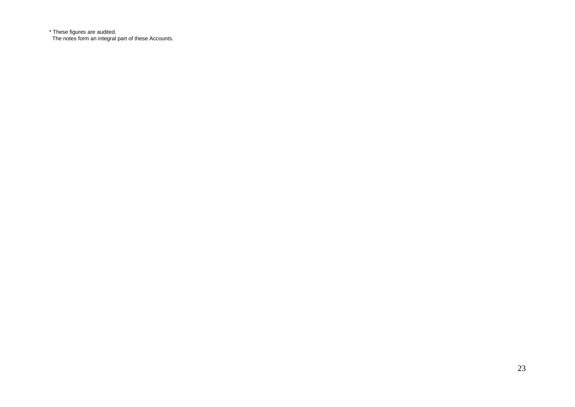\* These figures are audited. The notes form an integral part of these Accounts.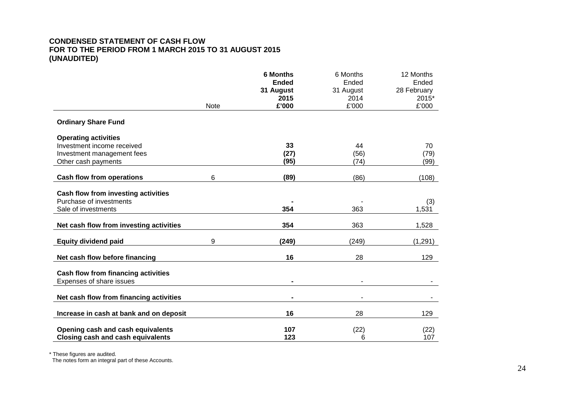# **CONDENSED STATEMENT OF CASH FLOW FOR TO THE PERIOD FROM 1 MARCH 2015 TO 31 AUGUST 2015 (UNAUDITED)**

|                                          | <b>Note</b> | <b>6 Months</b><br><b>Ended</b><br>31 August<br>2015<br>£'000 | 6 Months<br>Ended<br>31 August<br>2014<br>£'000 | 12 Months<br>Ended<br>28 February<br>2015*<br>£'000 |
|------------------------------------------|-------------|---------------------------------------------------------------|-------------------------------------------------|-----------------------------------------------------|
| <b>Ordinary Share Fund</b>               |             |                                                               |                                                 |                                                     |
| <b>Operating activities</b>              |             |                                                               |                                                 |                                                     |
| Investment income received               |             | 33                                                            | 44                                              | 70                                                  |
| Investment management fees               |             | (27)                                                          | (56)                                            | (79)                                                |
| Other cash payments                      |             | (95)                                                          | (74)                                            | (99)                                                |
| <b>Cash flow from operations</b>         | 6           | (89)                                                          | (86)                                            | (108)                                               |
| Cash flow from investing activities      |             |                                                               |                                                 |                                                     |
| Purchase of investments                  |             |                                                               |                                                 | (3)                                                 |
| Sale of investments                      |             | 354                                                           | 363                                             | 1,531                                               |
| Net cash flow from investing activities  |             | 354                                                           | 363                                             | 1,528                                               |
| <b>Equity dividend paid</b>              | 9           | (249)                                                         | (249)                                           | (1,291)                                             |
| Net cash flow before financing           |             | 16                                                            | 28                                              | 129                                                 |
| Cash flow from financing activities      |             |                                                               |                                                 |                                                     |
| Expenses of share issues                 |             | $\blacksquare$                                                | $\blacksquare$                                  |                                                     |
| Net cash flow from financing activities  |             | $\blacksquare$                                                |                                                 |                                                     |
| Increase in cash at bank and on deposit  |             | 16                                                            | 28                                              | 129                                                 |
| Opening cash and cash equivalents        |             | 107                                                           | (22)                                            | (22)                                                |
| <b>Closing cash and cash equivalents</b> |             | 123                                                           | 6                                               | 107                                                 |

\* These figures are audited.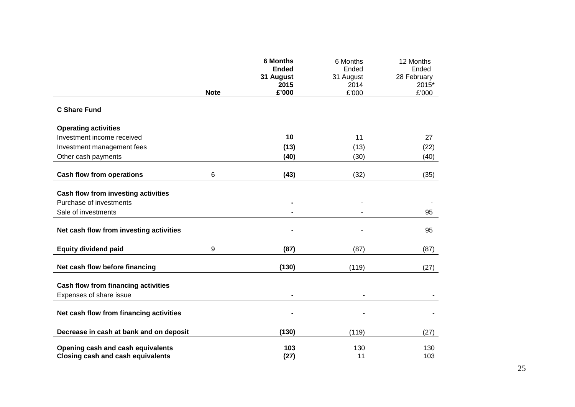|                                            |             | <b>6 Months</b><br><b>Ended</b> | 6 Months<br>Ended | 12 Months<br>Ended |
|--------------------------------------------|-------------|---------------------------------|-------------------|--------------------|
|                                            |             | 31 August                       | 31 August         | 28 February        |
|                                            | <b>Note</b> | 2015<br>£'000                   | 2014<br>£'000     | 2015*<br>£'000     |
|                                            |             |                                 |                   |                    |
| <b>C Share Fund</b>                        |             |                                 |                   |                    |
| <b>Operating activities</b>                |             |                                 |                   |                    |
| Investment income received                 |             | 10                              | 11                | 27                 |
| Investment management fees                 |             | (13)                            | (13)              | (22)               |
| Other cash payments                        |             | (40)                            | (30)              | (40)               |
| <b>Cash flow from operations</b>           | 6           | (43)                            | (32)              | (35)               |
|                                            |             |                                 |                   |                    |
| Cash flow from investing activities        |             |                                 |                   |                    |
| Purchase of investments                    |             |                                 |                   |                    |
| Sale of investments                        |             |                                 |                   | 95                 |
| Net cash flow from investing activities    |             |                                 |                   | 95                 |
| <b>Equity dividend paid</b>                | 9           | (87)                            | (87)              | (87)               |
| Net cash flow before financing             |             | (130)                           | (119)             | (27)               |
| <b>Cash flow from financing activities</b> |             |                                 |                   |                    |
| Expenses of share issue                    |             | $\blacksquare$                  | $\blacksquare$    |                    |
| Net cash flow from financing activities    |             |                                 |                   |                    |
|                                            |             |                                 |                   |                    |
| Decrease in cash at bank and on deposit    |             | (130)                           | (119)             | (27)               |
| Opening cash and cash equivalents          |             | 103                             | 130               | 130                |
| <b>Closing cash and cash equivalents</b>   |             | (27)                            | 11                | 103                |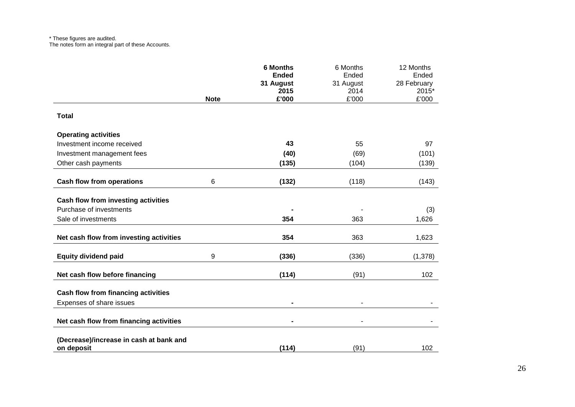#### \* These figures are audited. The notes form an integral part of these Accounts.

|                                                       |             | <b>6 Months</b><br><b>Ended</b> | 6 Months<br>Ended | 12 Months<br>Ended   |
|-------------------------------------------------------|-------------|---------------------------------|-------------------|----------------------|
|                                                       |             | 31 August<br>2015               | 31 August<br>2014 | 28 February<br>2015* |
|                                                       | <b>Note</b> | £'000                           | £'000             | £'000                |
| <b>Total</b>                                          |             |                                 |                   |                      |
| <b>Operating activities</b>                           |             |                                 |                   |                      |
| Investment income received                            |             | 43                              | 55                | 97                   |
| Investment management fees                            |             | (40)                            | (69)              | (101)                |
| Other cash payments                                   |             | (135)                           | (104)             | (139)                |
| <b>Cash flow from operations</b>                      | 6           | (132)                           | (118)             | (143)                |
| Cash flow from investing activities                   |             |                                 |                   |                      |
| Purchase of investments                               |             |                                 |                   | (3)                  |
| Sale of investments                                   |             | 354                             | 363               | 1,626                |
| Net cash flow from investing activities               |             | 354                             | 363               | 1,623                |
| <b>Equity dividend paid</b>                           | 9           | (336)                           | (336)             | (1,378)              |
| Net cash flow before financing                        |             | (114)                           | (91)              | 102                  |
| Cash flow from financing activities                   |             |                                 |                   |                      |
| Expenses of share issues                              |             | $\blacksquare$                  |                   |                      |
| Net cash flow from financing activities               |             | $\qquad \qquad \blacksquare$    |                   |                      |
| (Decrease)/increase in cash at bank and<br>on deposit |             | (114)                           | (91)              | 102                  |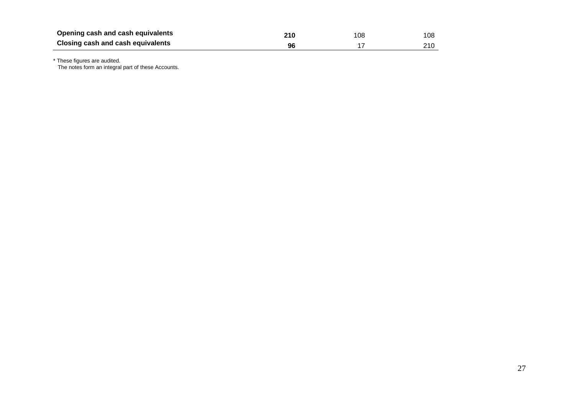| Opening cash and cash equivalents | 210 | 108 | 108 |
|-----------------------------------|-----|-----|-----|
| Closing cash and cash equivalents | 96  |     | 210 |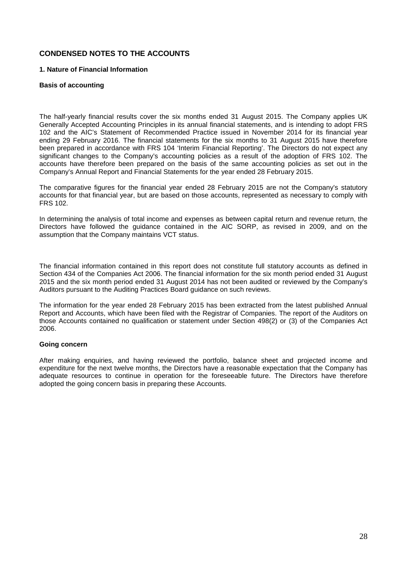# **CONDENSED NOTES TO THE ACCOUNTS**

# **1. Nature of Financial Information**

### **Basis of accounting**

The half-yearly financial results cover the six months ended 31 August 2015. The Company applies UK Generally Accepted Accounting Principles in its annual financial statements, and is intending to adopt FRS 102 and the AIC's Statement of Recommended Practice issued in November 2014 for its financial year ending 29 February 2016. The financial statements for the six months to 31 August 2015 have therefore been prepared in accordance with FRS 104 'Interim Financial Reporting'. The Directors do not expect any significant changes to the Company's accounting policies as a result of the adoption of FRS 102. The accounts have therefore been prepared on the basis of the same accounting policies as set out in the Company's Annual Report and Financial Statements for the year ended 28 February 2015.

The comparative figures for the financial year ended 28 February 2015 are not the Company's statutory accounts for that financial year, but are based on those accounts, represented as necessary to comply with FRS 102.

In determining the analysis of total income and expenses as between capital return and revenue return, the Directors have followed the guidance contained in the AIC SORP, as revised in 2009, and on the assumption that the Company maintains VCT status.

The financial information contained in this report does not constitute full statutory accounts as defined in Section 434 of the Companies Act 2006. The financial information for the six month period ended 31 August 2015 and the six month period ended 31 August 2014 has not been audited or reviewed by the Company's Auditors pursuant to the Auditing Practices Board guidance on such reviews.

The information for the year ended 28 February 2015 has been extracted from the latest published Annual Report and Accounts, which have been filed with the Registrar of Companies. The report of the Auditors on those Accounts contained no qualification or statement under Section 498(2) or (3) of the Companies Act 2006.

#### **Going concern**

After making enquiries, and having reviewed the portfolio, balance sheet and projected income and expenditure for the next twelve months, the Directors have a reasonable expectation that the Company has adequate resources to continue in operation for the foreseeable future. The Directors have therefore adopted the going concern basis in preparing these Accounts.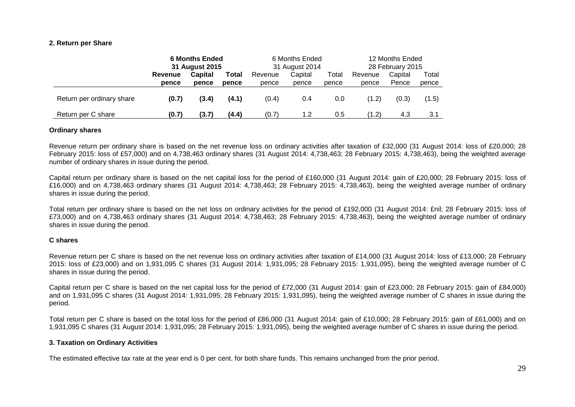#### **2. Return per Share**

|                           | <b>6 Months Ended</b><br>31 August 2015 |                | 6 Months Ended<br>31 August 2014 |         |         | 12 Months Ended<br>28 February 2015 |         |         |       |
|---------------------------|-----------------------------------------|----------------|----------------------------------|---------|---------|-------------------------------------|---------|---------|-------|
|                           | Revenue                                 | <b>Capital</b> | Total                            | Revenue | Capital | Total                               | Revenue | Capital | Total |
|                           | pence                                   | pence          | pence                            | pence   | pence   | pence                               | pence   | Pence   | pence |
| Return per ordinary share | (0.7)                                   | (3.4)          | (4.1)                            | (0.4)   | 0.4     | 0.0                                 | (1.2)   | (0.3)   | (1.5) |
| Return per C share        | (0.7)                                   | (3.7)          | (4.4)                            | (0.7)   | 1.2     | 0.5                                 | (1.2)   | 4.3     | 3.1   |

#### **Ordinary shares**

Revenue return per ordinary share is based on the net revenue loss on ordinary activities after taxation of £32,000 (31 August 2014: loss of £20,000; 28 February 2015: loss of £57,000) and on 4,738,463 ordinary shares (31 August 2014: 4,738,463; 28 February 2015: 4,738,463), being the weighted average number of ordinary shares in issue during the period.

Capital return per ordinary share is based on the net capital loss for the period of £160,000 (31 August 2014: gain of £20,000; 28 February 2015: loss of £16,000) and on 4,738,463 ordinary shares (31 August 2014: 4,738,463; 28 February 2015: 4,738,463), being the weighted average number of ordinary shares in issue during the period.

Total return per ordinary share is based on the net loss on ordinary activities for the period of £192,000 (31 August 2014: £nil; 28 February 2015: loss of £73,000) and on 4,738,463 ordinary shares (31 August 2014: 4,738,463; 28 February 2015: 4,738,463), being the weighted average number of ordinary shares in issue during the period.

#### **C shares**

Revenue return per C share is based on the net revenue loss on ordinary activities after taxation of £14,000 (31 August 2014: loss of £13,000; 28 February 2015: loss of £23,000) and on 1,931,095 C shares (31 August 2014: 1,931,095; 28 February 2015: 1,931,095), being the weighted average number of C shares in issue during the period.

Capital return per C share is based on the net capital loss for the period of £72,000 (31 August 2014: gain of £23,000; 28 February 2015: gain of £84,000) and on 1,931,095 C shares (31 August 2014: 1,931,095; 28 February 2015: 1,931,095), being the weighted average number of C shares in issue during the period.

Total return per C share is based on the total loss for the period of £86,000 (31 August 2014: gain of £10,000; 28 February 2015: gain of £61,000) and on 1,931,095 C shares (31 August 2014: 1,931,095; 28 February 2015: 1,931,095), being the weighted average number of C shares in issue during the period.

#### **3. Taxation on Ordinary Activities**

The estimated effective tax rate at the year end is 0 per cent. for both share funds. This remains unchanged from the prior period.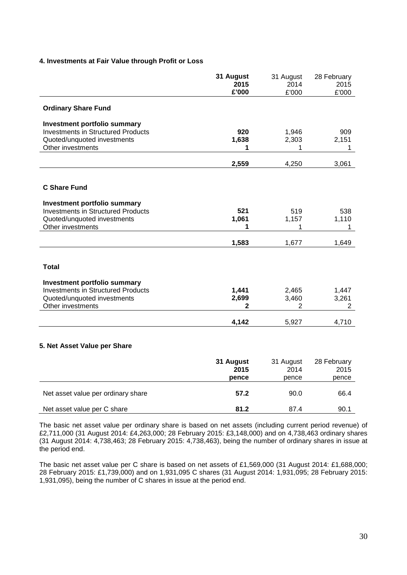# **4. Investments at Fair Value through Profit or Loss**

|                                           | 31 August<br>2015<br>£'000 | 31 August<br>2014<br>£'000 | 28 February<br>2015<br>£'000 |
|-------------------------------------------|----------------------------|----------------------------|------------------------------|
| <b>Ordinary Share Fund</b>                |                            |                            |                              |
| <b>Investment portfolio summary</b>       |                            |                            |                              |
| <b>Investments in Structured Products</b> | 920                        | 1,946                      | 909                          |
| Quoted/unquoted investments               | 1,638                      | 2,303                      | 2,151                        |
| Other investments                         | 1                          | 1                          | 1                            |
|                                           | 2,559                      | 4,250                      | 3,061                        |
|                                           |                            |                            |                              |
| <b>C Share Fund</b>                       |                            |                            |                              |
| <b>Investment portfolio summary</b>       |                            |                            |                              |
| <b>Investments in Structured Products</b> | 521                        | 519                        | 538                          |
| Quoted/unquoted investments               | 1,061                      | 1,157                      | 1,110                        |
| Other investments                         | 1                          | 1                          | 1                            |
|                                           | 1,583                      | 1,677                      | 1,649                        |
|                                           |                            |                            |                              |
| <b>Total</b>                              |                            |                            |                              |
| <b>Investment portfolio summary</b>       |                            |                            |                              |
| <b>Investments in Structured Products</b> | 1,441                      | 2,465                      | 1,447                        |
| Quoted/unquoted investments               | 2,699                      | 3,460                      | 3,261                        |
| Other investments                         | $\mathbf{2}$               | $\overline{2}$             | $\overline{2}$               |
|                                           | 4,142                      | 5,927                      | 4,710                        |
|                                           |                            |                            |                              |
| 5. Net Asset Value per Share              |                            |                            |                              |
|                                           |                            |                            |                              |
|                                           | 31 August                  | 31 August                  | 28 February                  |
|                                           | 2015                       | 2014                       | 2015                         |
|                                           | pence                      | pence                      | pence                        |
| Net asset value per ordinary share        | 57.2                       | 90.0                       | 66.4                         |
| Net asset value per C share               | 81.2                       | 87.4                       | 90.1                         |

The basic net asset value per ordinary share is based on net assets (including current period revenue) of £2,711,000 (31 August 2014: £4,263,000; 28 February 2015: £3,148,000) and on 4,738,463 ordinary shares (31 August 2014: 4,738,463; 28 February 2015: 4,738,463), being the number of ordinary shares in issue at the period end.

The basic net asset value per C share is based on net assets of £1,569,000 (31 August 2014: £1,688,000; 28 February 2015: £1,739,000) and on 1,931,095 C shares (31 August 2014: 1,931,095; 28 February 2015: 1,931,095), being the number of C shares in issue at the period end.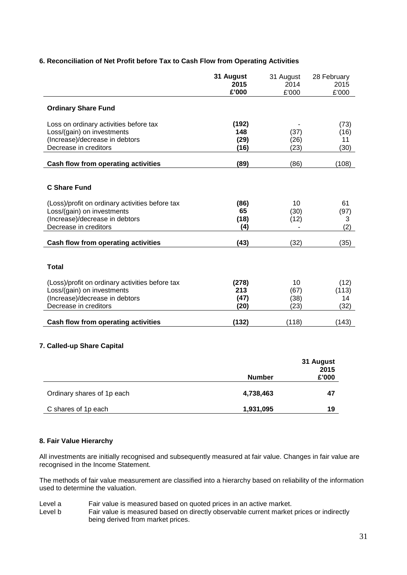|                                                                                                                                                                 | 31 August<br>2015<br>£'000   | 31 August<br>2014<br>£'000 | 28 February<br>2015<br>£'000 |
|-----------------------------------------------------------------------------------------------------------------------------------------------------------------|------------------------------|----------------------------|------------------------------|
| <b>Ordinary Share Fund</b>                                                                                                                                      |                              |                            |                              |
| Loss on ordinary activities before tax<br>Loss/(gain) on investments<br>(Increase)/decrease in debtors<br>Decrease in creditors                                 | (192)<br>148<br>(29)<br>(16) | (37)<br>(26)<br>(23)       | (73)<br>(16)<br>11<br>(30)   |
| Cash flow from operating activities                                                                                                                             | (89)                         | (86)                       | (108)                        |
| <b>C Share Fund</b><br>(Loss)/profit on ordinary activities before tax<br>Loss/(gain) on investments<br>(Increase)/decrease in debtors<br>Decrease in creditors | (86)<br>65<br>(18)<br>(4)    | 10<br>(30)<br>(12)         | 61<br>(97)<br>3<br>(2)       |
| Cash flow from operating activities                                                                                                                             | (43)                         | (32)                       | (35)                         |
| <b>Total</b><br>(Loss)/profit on ordinary activities before tax<br>Loss/(gain) on investments<br>(Increase)/decrease in debtors<br>Decrease in creditors        | (278)<br>213<br>(47)<br>(20) | 10<br>(67)<br>(38)<br>(23) | (12)<br>(113)<br>14<br>(32)  |
| Cash flow from operating activities                                                                                                                             | (132)                        | (118)                      | (143)                        |

# **6. Reconciliation of Net Profit before Tax to Cash Flow from Operating Activities**

# **7. Called-up Share Capital**

|                            | <b>Number</b> | 31 August<br>2015<br>£'000 |
|----------------------------|---------------|----------------------------|
| Ordinary shares of 1p each | 4,738,463     | 47                         |
| C shares of 1p each        | 1,931,095     | 19                         |

# **8. Fair Value Hierarchy**

All investments are initially recognised and subsequently measured at fair value. Changes in fair value are recognised in the Income Statement.

The methods of fair value measurement are classified into a hierarchy based on reliability of the information used to determine the valuation.

- Level a Fair value is measured based on quoted prices in an active market.<br>Level b Fair value is measured based on directly observable current market
- Fair value is measured based on directly observable current market prices or indirectly being derived from market prices.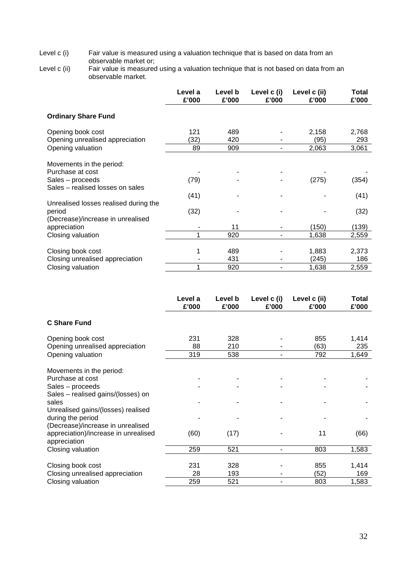Level c (i) Fair value is measured using a valuation technique that is based on data from an observable market or;

Level c (ii) Fair value is measured using a valuation technique that is not based on data from an observable market.

|                                                                                                      | Level a<br>£'000 | Level b<br>£'000  | Level c (i)<br>£'000 | Level c (ii)<br>£'000   | Total<br>£'000        |
|------------------------------------------------------------------------------------------------------|------------------|-------------------|----------------------|-------------------------|-----------------------|
| <b>Ordinary Share Fund</b>                                                                           |                  |                   |                      |                         |                       |
| Opening book cost                                                                                    | 121              | 489               |                      | 2,158                   | 2,768                 |
| Opening unrealised appreciation                                                                      | (32)             | 420               |                      | (95)                    | 293                   |
| Opening valuation                                                                                    | 89               | 909               | ۰                    | 2,063                   | 3,061                 |
| Movements in the period:<br>Purchase at cost<br>Sales – proceeds<br>Sales - realised losses on sales | (79)<br>(41)     |                   |                      | (275)                   | (354)<br>(41)         |
| Unrealised losses realised during the<br>period<br>(Decrease)/increase in unrealised                 | (32)             |                   |                      |                         | (32)                  |
| appreciation                                                                                         |                  | 11                |                      | (150)                   | (139)                 |
| Closing valuation                                                                                    |                  | 920               |                      | 1,638                   | 2,559                 |
| Closing book cost<br>Closing unrealised appreciation<br>Closing valuation                            |                  | 489<br>431<br>920 |                      | 1,883<br>(245)<br>1,638 | 2,373<br>186<br>2,559 |
|                                                                                                      |                  |                   |                      |                         |                       |

|                                      | Level a<br>£'000 | Level b<br>£'000 | Level c (i)<br>£'000 | Level c (ii)<br>£'000 | Total<br>£'000 |
|--------------------------------------|------------------|------------------|----------------------|-----------------------|----------------|
| <b>C Share Fund</b>                  |                  |                  |                      |                       |                |
| Opening book cost                    | 231              | 328              |                      | 855                   | 1,414          |
| Opening unrealised appreciation      | 88               | 210              |                      | (63)                  | 235            |
| Opening valuation                    | 319              | 538              |                      | 792                   | 1,649          |
| Movements in the period:             |                  |                  |                      |                       |                |
| Purchase at cost                     |                  |                  |                      |                       |                |
| Sales – proceeds                     |                  |                  |                      |                       |                |
| Sales – realised gains/(losses) on   |                  |                  |                      |                       |                |
| sales                                |                  |                  |                      |                       |                |
| Unrealised gains/(losses) realised   |                  |                  |                      |                       |                |
| during the period                    |                  |                  |                      |                       |                |
| (Decrease)/increase in unrealised    |                  |                  |                      |                       |                |
| appreciation)/increase in unrealised | (60)             | (17)             |                      | 11                    | (66)           |
| appreciation                         |                  |                  |                      |                       |                |
| Closing valuation                    | 259              | 521              |                      | 803                   | 1,583          |
|                                      |                  |                  |                      |                       |                |
| Closing book cost                    | 231              | 328              |                      | 855                   | 1,414          |
| Closing unrealised appreciation      | 28               | 193              |                      | (52)                  | 169            |
| Closing valuation                    | 259              | 521              |                      | 803                   | 1,583          |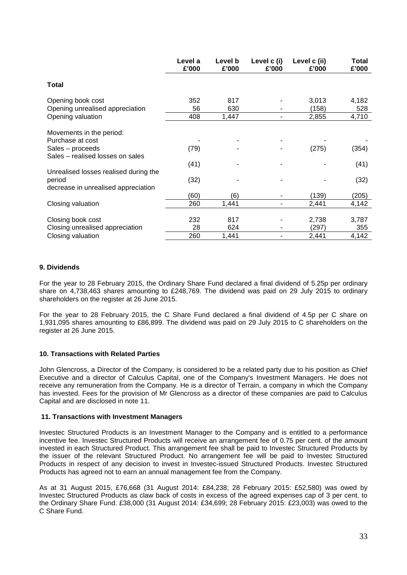|                                                      | Level a<br>£'000 | Level b<br>£'000 | Level c (i)<br>£'000 | Level c (ii)<br>£'000 | Total<br>£'000 |
|------------------------------------------------------|------------------|------------------|----------------------|-----------------------|----------------|
| Total                                                |                  |                  |                      |                       |                |
| Opening book cost                                    | 352              | 817              |                      | 3,013                 | 4,182          |
| Opening unrealised appreciation                      | 56               | 630              |                      | (158)                 | 528            |
| Opening valuation                                    | 408              | 1,447            |                      | 2,855                 | 4,710          |
| Movements in the period:                             |                  |                  |                      |                       |                |
| Purchase at cost                                     |                  |                  |                      |                       |                |
| Sales – proceeds<br>Sales – realised losses on sales | (79)             |                  |                      | (275)                 | (354)          |
|                                                      | (41)             |                  |                      |                       | (41)           |
| Unrealised losses realised during the                |                  |                  |                      |                       |                |
| period                                               | (32)             |                  |                      |                       | (32)           |
| decrease in unrealised appreciation                  |                  |                  |                      |                       |                |
|                                                      | (60)             | (6)              |                      | (139)                 | (205)          |
| Closing valuation                                    | 260              | 1,441            | -                    | 2,441                 | 4,142          |
|                                                      |                  |                  |                      |                       |                |
| Closing book cost                                    | 232              | 817              |                      | 2,738                 | 3,787          |
| Closing unrealised appreciation                      | 28               | 624              |                      | (297)                 | 355            |
| Closing valuation                                    | 260              | 1,441            |                      | 2,441                 | 4,142          |

# **9. Dividends**

For the year to 28 February 2015, the Ordinary Share Fund declared a final dividend of 5.25p per ordinary share on 4,738,463 shares amounting to £248,769. The dividend was paid on 29 July 2015 to ordinary shareholders on the register at 26 June 2015.

For the year to 28 February 2015, the C Share Fund declared a final dividend of 4.5p per C share on 1,931,095 shares amounting to £86,899. The dividend was paid on 29 July 2015 to C shareholders on the register at 26 June 2015.

# **10. Transactions with Related Parties**

John Glencross, a Director of the Company, is considered to be a related party due to his position as Chief Executive and a director of Calculus Capital, one of the Company's Investment Managers. He does not receive any remuneration from the Company. He is a director of Terrain, a company in which the Company has invested. Fees for the provision of Mr Glencross as a director of these companies are paid to Calculus Capital and are disclosed in note 11.

#### **11. Transactions with Investment Managers**

Investec Structured Products is an Investment Manager to the Company and is entitled to a performance incentive fee. Investec Structured Products will receive an arrangement fee of 0.75 per cent. of the amount invested in each Structured Product. This arrangement fee shall be paid to Investec Structured Products by the issuer of the relevant Structured Product. No arrangement fee will be paid to Investec Structured Products in respect of any decision to invest in Investec-issued Structured Products. Investec Structured Products has agreed not to earn an annual management fee from the Company.

As at 31 August 2015, £76,668 (31 August 2014: £84,238; 28 February 2015: £52,580) was owed by Investec Structured Products as claw back of costs in excess of the agreed expenses cap of 3 per cent. to the Ordinary Share Fund. £38,000 (31 August 2014: £34,699; 28 February 2015: £23,003) was owed to the C Share Fund.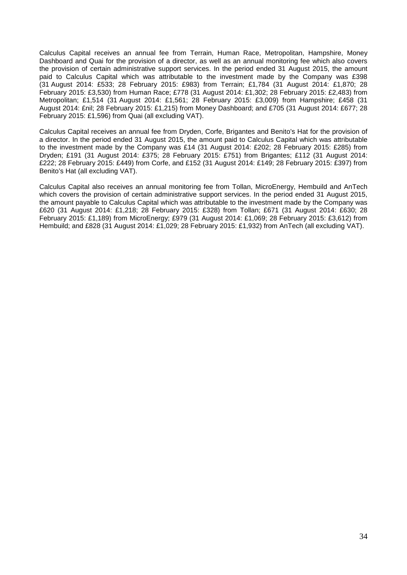Calculus Capital receives an annual fee from Terrain, Human Race, Metropolitan, Hampshire, Money Dashboard and Quai for the provision of a director, as well as an annual monitoring fee which also covers the provision of certain administrative support services. In the period ended 31 August 2015, the amount paid to Calculus Capital which was attributable to the investment made by the Company was £398 (31 August 2014: £533; 28 February 2015: £983) from Terrain; £1,784 (31 August 2014: £1,870; 28 February 2015: £3,530) from Human Race; £778 (31 August 2014: £1,302; 28 February 2015: £2,483) from Metropolitan; £1,514 (31 August 2014: £1,561; 28 February 2015: £3,009) from Hampshire; £458 (31 August 2014: £nil; 28 February 2015: £1,215) from Money Dashboard; and £705 (31 August 2014: £677; 28 February 2015: £1,596) from Quai (all excluding VAT).

Calculus Capital receives an annual fee from Dryden, Corfe, Brigantes and Benito's Hat for the provision of a director. In the period ended 31 August 2015, the amount paid to Calculus Capital which was attributable to the investment made by the Company was £14 (31 August 2014: £202; 28 February 2015: £285) from Dryden; £191 (31 August 2014: £375; 28 February 2015: £751) from Brigantes; £112 (31 August 2014: £222; 28 February 2015: £449) from Corfe, and £152 (31 August 2014: £149; 28 February 2015: £397) from Benito's Hat (all excluding VAT).

Calculus Capital also receives an annual monitoring fee from Tollan, MicroEnergy, Hembuild and AnTech which covers the provision of certain administrative support services. In the period ended 31 August 2015, the amount payable to Calculus Capital which was attributable to the investment made by the Company was £620 (31 August 2014: £1,218; 28 February 2015: £328) from Tollan; £671 (31 August 2014: £630; 28 February 2015: £1,189) from MicroEnergy; £979 (31 August 2014: £1,069; 28 February 2015: £3,612) from Hembuild; and £828 (31 August 2014: £1,029; 28 February 2015: £1,932) from AnTech (all excluding VAT).